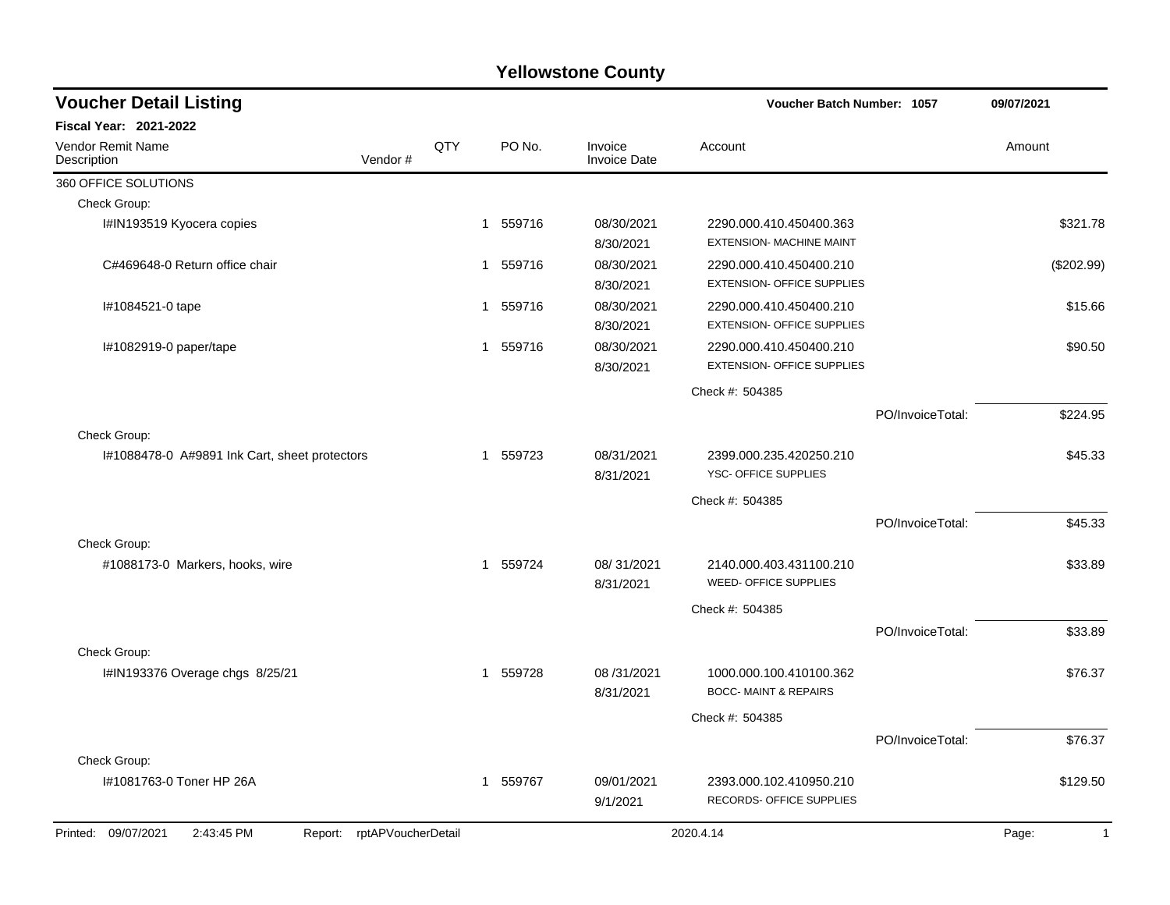| <b>Voucher Detail Listing</b>                                      |     |              |        |                         | Voucher Batch Number: 1057                                   |                  | 09/07/2021            |
|--------------------------------------------------------------------|-----|--------------|--------|-------------------------|--------------------------------------------------------------|------------------|-----------------------|
| <b>Fiscal Year: 2021-2022</b>                                      |     |              |        |                         |                                                              |                  |                       |
| <b>Vendor Remit Name</b><br>Description<br>Vendor#                 | QTY |              | PO No. | Invoice<br>Invoice Date | Account                                                      |                  | Amount                |
| 360 OFFICE SOLUTIONS                                               |     |              |        |                         |                                                              |                  |                       |
| Check Group:                                                       |     |              |        |                         |                                                              |                  |                       |
| I#IN193519 Kyocera copies                                          |     | $\mathbf{1}$ | 559716 | 08/30/2021<br>8/30/2021 | 2290.000.410.450400.363<br>EXTENSION- MACHINE MAINT          |                  | \$321.78              |
| C#469648-0 Return office chair                                     |     | 1            | 559716 | 08/30/2021<br>8/30/2021 | 2290.000.410.450400.210<br><b>EXTENSION- OFFICE SUPPLIES</b> |                  | $(\$202.99)$          |
| #1084521-0 tape                                                    |     | 1            | 559716 | 08/30/2021<br>8/30/2021 | 2290.000.410.450400.210<br><b>EXTENSION- OFFICE SUPPLIES</b> |                  | \$15.66               |
| I#1082919-0 paper/tape                                             |     | 1            | 559716 | 08/30/2021<br>8/30/2021 | 2290.000.410.450400.210<br><b>EXTENSION- OFFICE SUPPLIES</b> |                  | \$90.50               |
|                                                                    |     |              |        |                         | Check #: 504385                                              |                  |                       |
|                                                                    |     |              |        |                         |                                                              | PO/InvoiceTotal: | \$224.95              |
| Check Group:                                                       |     |              |        |                         |                                                              |                  |                       |
| I#1088478-0 A#9891 Ink Cart, sheet protectors                      |     | $\mathbf 1$  | 559723 | 08/31/2021<br>8/31/2021 | 2399.000.235.420250.210<br>YSC- OFFICE SUPPLIES              |                  | \$45.33               |
|                                                                    |     |              |        |                         | Check #: 504385                                              |                  |                       |
|                                                                    |     |              |        |                         |                                                              | PO/InvoiceTotal: | \$45.33               |
| Check Group:                                                       |     |              |        |                         |                                                              |                  |                       |
| #1088173-0 Markers, hooks, wire                                    |     | $\mathbf{1}$ | 559724 | 08/31/2021<br>8/31/2021 | 2140.000.403.431100.210<br>WEED- OFFICE SUPPLIES             |                  | \$33.89               |
|                                                                    |     |              |        |                         | Check #: 504385                                              |                  |                       |
|                                                                    |     |              |        |                         |                                                              | PO/InvoiceTotal: | \$33.89               |
| Check Group:                                                       |     |              |        |                         |                                                              |                  |                       |
| I#IN193376 Overage chgs 8/25/21                                    |     | 1            | 559728 | 08/31/2021<br>8/31/2021 | 1000.000.100.410100.362<br><b>BOCC- MAINT &amp; REPAIRS</b>  |                  | \$76.37               |
|                                                                    |     |              |        |                         | Check #: 504385                                              |                  |                       |
|                                                                    |     |              |        |                         |                                                              | PO/InvoiceTotal: | \$76.37               |
| Check Group:                                                       |     |              |        |                         |                                                              |                  |                       |
| I#1081763-0 Toner HP 26A                                           |     | 1            | 559767 | 09/01/2021<br>9/1/2021  | 2393.000.102.410950.210<br>RECORDS- OFFICE SUPPLIES          |                  | \$129.50              |
| Printed: 09/07/2021<br>2:43:45 PM<br>rptAPVoucherDetail<br>Report: |     |              |        |                         | 2020.4.14                                                    |                  | Page:<br>$\mathbf{1}$ |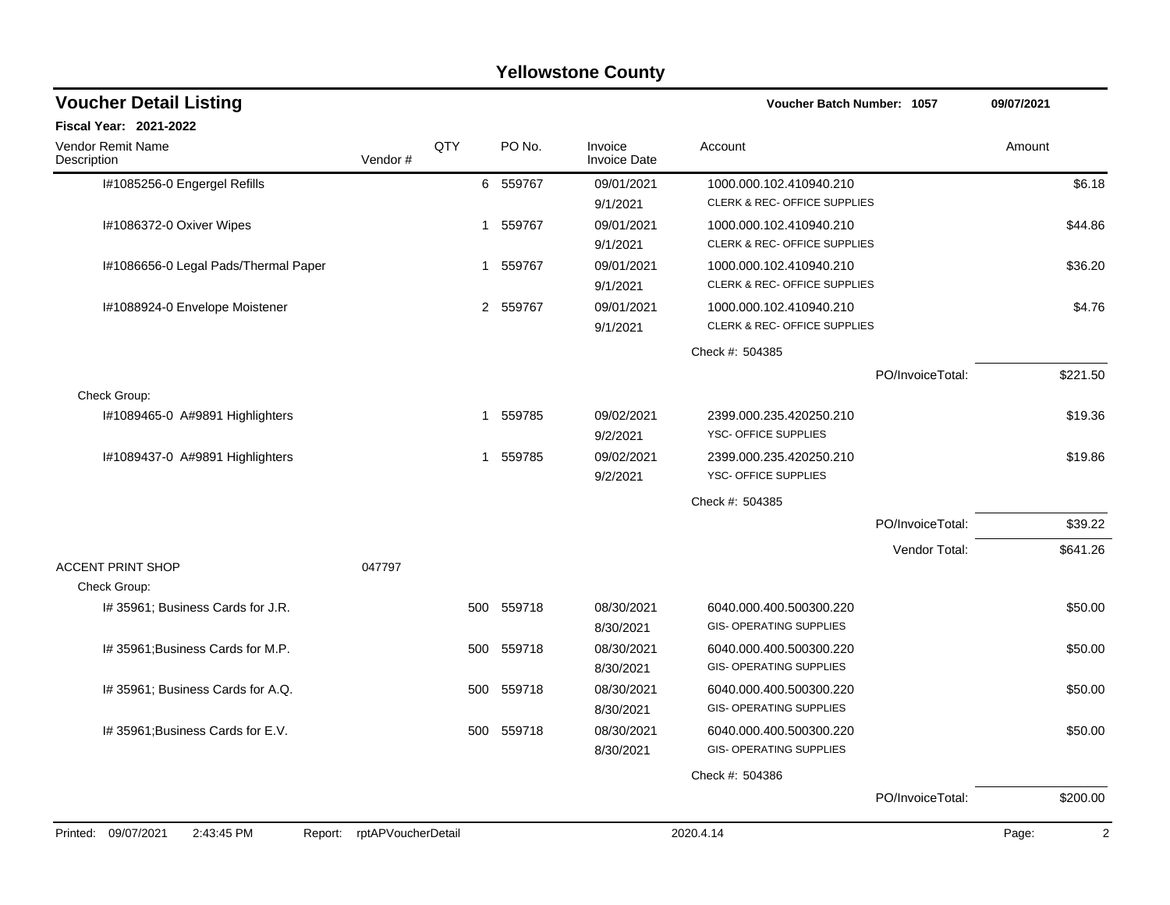| <b>Voucher Detail Listing</b>                |                    |     |          |                                | Voucher Batch Number: 1057              |                  | 09/07/2021 |
|----------------------------------------------|--------------------|-----|----------|--------------------------------|-----------------------------------------|------------------|------------|
| Fiscal Year: 2021-2022                       |                    |     |          |                                |                                         |                  |            |
| <b>Vendor Remit Name</b><br>Description      | Vendor#            | QTY | PO No.   | Invoice<br><b>Invoice Date</b> | Account                                 |                  | Amount     |
| I#1085256-0 Engergel Refills                 |                    | 6   | 559767   | 09/01/2021                     | 1000.000.102.410940.210                 |                  | \$6.18     |
|                                              |                    |     |          | 9/1/2021                       | CLERK & REC- OFFICE SUPPLIES            |                  |            |
| I#1086372-0 Oxiver Wipes                     |                    |     | 1 559767 | 09/01/2021                     | 1000.000.102.410940.210                 |                  | \$44.86    |
|                                              |                    |     |          | 9/1/2021                       | <b>CLERK &amp; REC- OFFICE SUPPLIES</b> |                  |            |
| I#1086656-0 Legal Pads/Thermal Paper         |                    |     | 1 559767 | 09/01/2021                     | 1000.000.102.410940.210                 |                  | \$36.20    |
|                                              |                    |     |          | 9/1/2021                       | <b>CLERK &amp; REC- OFFICE SUPPLIES</b> |                  |            |
| I#1088924-0 Envelope Moistener               |                    |     | 2 559767 | 09/01/2021                     | 1000.000.102.410940.210                 |                  | \$4.76     |
|                                              |                    |     |          | 9/1/2021                       | CLERK & REC- OFFICE SUPPLIES            |                  |            |
|                                              |                    |     |          |                                | Check #: 504385                         |                  |            |
|                                              |                    |     |          |                                |                                         | PO/InvoiceTotal: | \$221.50   |
| Check Group:                                 |                    |     |          |                                |                                         |                  |            |
| I#1089465-0 A#9891 Highlighters              |                    | -1  | 559785   | 09/02/2021                     | 2399.000.235.420250.210                 |                  | \$19.36    |
|                                              |                    |     |          | 9/2/2021                       | YSC- OFFICE SUPPLIES                    |                  |            |
| I#1089437-0 A#9891 Highlighters              |                    | -1  | 559785   | 09/02/2021                     | 2399.000.235.420250.210                 |                  | \$19.86    |
|                                              |                    |     |          | 9/2/2021                       | YSC- OFFICE SUPPLIES                    |                  |            |
|                                              |                    |     |          |                                | Check #: 504385                         |                  |            |
|                                              |                    |     |          |                                |                                         | PO/InvoiceTotal: | \$39.22    |
|                                              |                    |     |          |                                |                                         | Vendor Total:    | \$641.26   |
| <b>ACCENT PRINT SHOP</b>                     | 047797             |     |          |                                |                                         |                  |            |
| Check Group:                                 |                    |     |          |                                |                                         |                  |            |
| I# 35961; Business Cards for J.R.            |                    | 500 | 559718   | 08/30/2021                     | 6040.000.400.500300.220                 |                  | \$50.00    |
|                                              |                    |     |          | 8/30/2021                      | <b>GIS- OPERATING SUPPLIES</b>          |                  |            |
| I# 35961; Business Cards for M.P.            |                    | 500 | 559718   | 08/30/2021                     | 6040.000.400.500300.220                 |                  | \$50.00    |
|                                              |                    |     |          | 8/30/2021                      | <b>GIS- OPERATING SUPPLIES</b>          |                  |            |
| I# 35961; Business Cards for A.Q.            |                    | 500 | 559718   | 08/30/2021                     | 6040.000.400.500300.220                 |                  | \$50.00    |
|                                              |                    |     |          | 8/30/2021                      | <b>GIS- OPERATING SUPPLIES</b>          |                  |            |
| I# 35961; Business Cards for E.V.            |                    | 500 | 559718   | 08/30/2021                     | 6040.000.400.500300.220                 |                  | \$50.00    |
|                                              |                    |     |          | 8/30/2021                      | <b>GIS- OPERATING SUPPLIES</b>          |                  |            |
|                                              |                    |     |          |                                | Check #: 504386                         |                  |            |
|                                              |                    |     |          |                                |                                         | PO/InvoiceTotal: | \$200.00   |
| Printed: 09/07/2021<br>2:43:45 PM<br>Report: | rptAPVoucherDetail |     |          |                                | 2020.4.14                               |                  | Page:<br>2 |
|                                              |                    |     |          |                                |                                         |                  |            |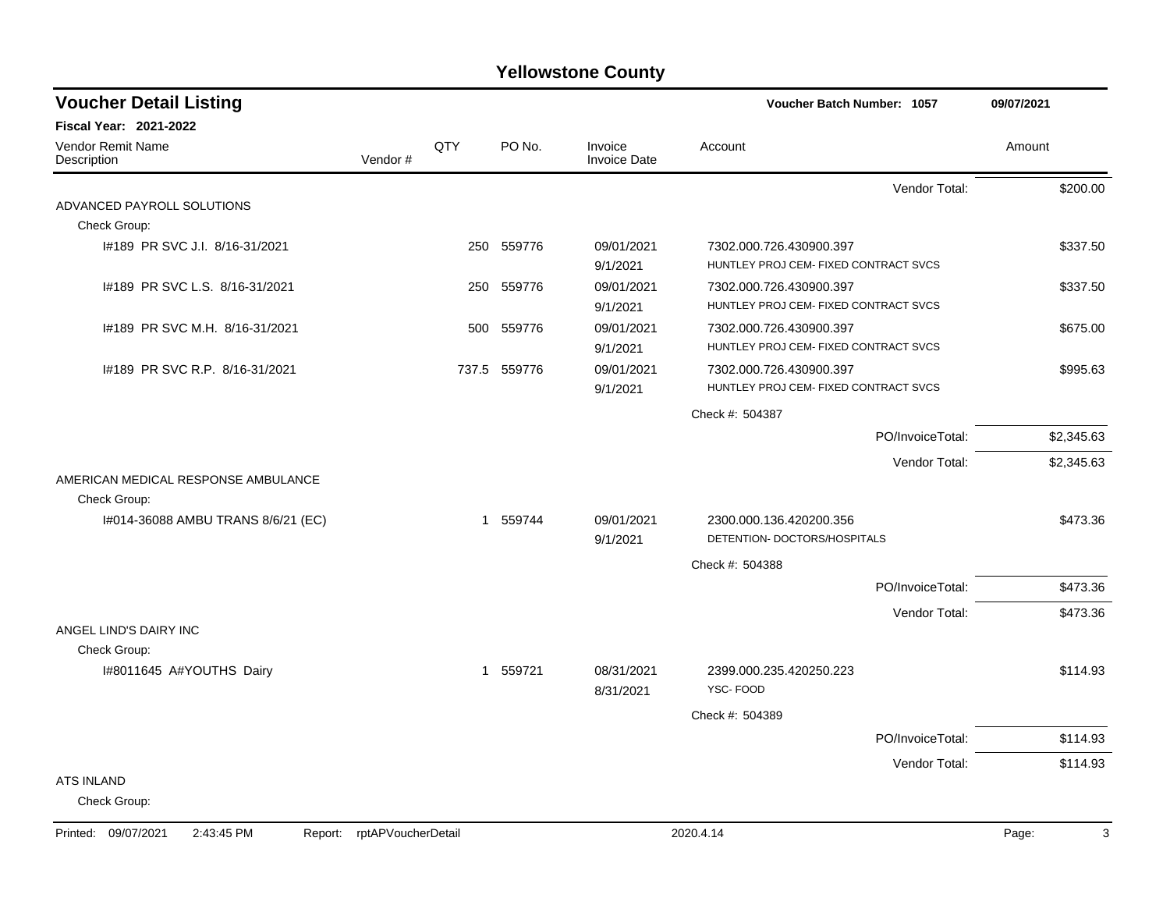| <b>Fiscal Year: 2021-2022</b><br>QTY<br>Vendor Remit Name<br>PO No.<br>Invoice<br>Account<br>Amount<br>Vendor#<br><b>Invoice Date</b><br>Description<br>Vendor Total:<br>ADVANCED PAYROLL SOLUTIONS<br>Check Group:<br>I#189 PR SVC J.I. 8/16-31/2021<br>250 559776<br>09/01/2021<br>7302.000.726.430900.397<br>HUNTLEY PROJ CEM- FIXED CONTRACT SVCS<br>9/1/2021<br>I#189 PR SVC L.S. 8/16-31/2021<br>559776<br>09/01/2021<br>250<br>7302.000.726.430900.397<br>HUNTLEY PROJ CEM- FIXED CONTRACT SVCS<br>9/1/2021<br>I#189 PR SVC M.H. 8/16-31/2021<br>559776<br>500<br>09/01/2021<br>7302.000.726.430900.397<br>HUNTLEY PROJ CEM- FIXED CONTRACT SVCS<br>9/1/2021<br>#189 PR SVC R.P. 8/16-31/2021<br>737.5 559776<br>09/01/2021<br>7302.000.726.430900.397<br>HUNTLEY PROJ CEM- FIXED CONTRACT SVCS<br>9/1/2021<br>Check #: 504387<br>PO/InvoiceTotal:<br>Vendor Total:<br>AMERICAN MEDICAL RESPONSE AMBULANCE<br>Check Group:<br>1 559744<br>09/01/2021<br>I#014-36088 AMBU TRANS 8/6/21 (EC)<br>2300.000.136.420200.356<br>DETENTION- DOCTORS/HOSPITALS<br>9/1/2021<br>Check #: 504388<br>PO/InvoiceTotal:<br>Vendor Total:<br>ANGEL LIND'S DAIRY INC<br>Check Group:<br>1 559721<br>I#8011645 A#YOUTHS Dairy<br>08/31/2021<br>2399.000.235.420250.223<br>YSC-FOOD<br>8/31/2021 | <b>Voucher Detail Listing</b> |  |  | <b>Voucher Batch Number: 1057</b> | 09/07/2021 |
|--------------------------------------------------------------------------------------------------------------------------------------------------------------------------------------------------------------------------------------------------------------------------------------------------------------------------------------------------------------------------------------------------------------------------------------------------------------------------------------------------------------------------------------------------------------------------------------------------------------------------------------------------------------------------------------------------------------------------------------------------------------------------------------------------------------------------------------------------------------------------------------------------------------------------------------------------------------------------------------------------------------------------------------------------------------------------------------------------------------------------------------------------------------------------------------------------------------------------------------------------------------------------------------|-------------------------------|--|--|-----------------------------------|------------|
|                                                                                                                                                                                                                                                                                                                                                                                                                                                                                                                                                                                                                                                                                                                                                                                                                                                                                                                                                                                                                                                                                                                                                                                                                                                                                      |                               |  |  |                                   |            |
|                                                                                                                                                                                                                                                                                                                                                                                                                                                                                                                                                                                                                                                                                                                                                                                                                                                                                                                                                                                                                                                                                                                                                                                                                                                                                      |                               |  |  |                                   |            |
|                                                                                                                                                                                                                                                                                                                                                                                                                                                                                                                                                                                                                                                                                                                                                                                                                                                                                                                                                                                                                                                                                                                                                                                                                                                                                      |                               |  |  |                                   | \$200.00   |
|                                                                                                                                                                                                                                                                                                                                                                                                                                                                                                                                                                                                                                                                                                                                                                                                                                                                                                                                                                                                                                                                                                                                                                                                                                                                                      |                               |  |  |                                   |            |
|                                                                                                                                                                                                                                                                                                                                                                                                                                                                                                                                                                                                                                                                                                                                                                                                                                                                                                                                                                                                                                                                                                                                                                                                                                                                                      |                               |  |  |                                   |            |
|                                                                                                                                                                                                                                                                                                                                                                                                                                                                                                                                                                                                                                                                                                                                                                                                                                                                                                                                                                                                                                                                                                                                                                                                                                                                                      |                               |  |  |                                   | \$337.50   |
|                                                                                                                                                                                                                                                                                                                                                                                                                                                                                                                                                                                                                                                                                                                                                                                                                                                                                                                                                                                                                                                                                                                                                                                                                                                                                      |                               |  |  |                                   |            |
|                                                                                                                                                                                                                                                                                                                                                                                                                                                                                                                                                                                                                                                                                                                                                                                                                                                                                                                                                                                                                                                                                                                                                                                                                                                                                      |                               |  |  |                                   | \$337.50   |
|                                                                                                                                                                                                                                                                                                                                                                                                                                                                                                                                                                                                                                                                                                                                                                                                                                                                                                                                                                                                                                                                                                                                                                                                                                                                                      |                               |  |  |                                   |            |
|                                                                                                                                                                                                                                                                                                                                                                                                                                                                                                                                                                                                                                                                                                                                                                                                                                                                                                                                                                                                                                                                                                                                                                                                                                                                                      |                               |  |  |                                   | \$675.00   |
|                                                                                                                                                                                                                                                                                                                                                                                                                                                                                                                                                                                                                                                                                                                                                                                                                                                                                                                                                                                                                                                                                                                                                                                                                                                                                      |                               |  |  |                                   |            |
|                                                                                                                                                                                                                                                                                                                                                                                                                                                                                                                                                                                                                                                                                                                                                                                                                                                                                                                                                                                                                                                                                                                                                                                                                                                                                      |                               |  |  |                                   | \$995.63   |
|                                                                                                                                                                                                                                                                                                                                                                                                                                                                                                                                                                                                                                                                                                                                                                                                                                                                                                                                                                                                                                                                                                                                                                                                                                                                                      |                               |  |  |                                   |            |
|                                                                                                                                                                                                                                                                                                                                                                                                                                                                                                                                                                                                                                                                                                                                                                                                                                                                                                                                                                                                                                                                                                                                                                                                                                                                                      |                               |  |  |                                   |            |
|                                                                                                                                                                                                                                                                                                                                                                                                                                                                                                                                                                                                                                                                                                                                                                                                                                                                                                                                                                                                                                                                                                                                                                                                                                                                                      |                               |  |  |                                   | \$2,345.63 |
|                                                                                                                                                                                                                                                                                                                                                                                                                                                                                                                                                                                                                                                                                                                                                                                                                                                                                                                                                                                                                                                                                                                                                                                                                                                                                      |                               |  |  |                                   | \$2,345.63 |
|                                                                                                                                                                                                                                                                                                                                                                                                                                                                                                                                                                                                                                                                                                                                                                                                                                                                                                                                                                                                                                                                                                                                                                                                                                                                                      |                               |  |  |                                   |            |
|                                                                                                                                                                                                                                                                                                                                                                                                                                                                                                                                                                                                                                                                                                                                                                                                                                                                                                                                                                                                                                                                                                                                                                                                                                                                                      |                               |  |  |                                   |            |
|                                                                                                                                                                                                                                                                                                                                                                                                                                                                                                                                                                                                                                                                                                                                                                                                                                                                                                                                                                                                                                                                                                                                                                                                                                                                                      |                               |  |  |                                   | \$473.36   |
|                                                                                                                                                                                                                                                                                                                                                                                                                                                                                                                                                                                                                                                                                                                                                                                                                                                                                                                                                                                                                                                                                                                                                                                                                                                                                      |                               |  |  |                                   |            |
|                                                                                                                                                                                                                                                                                                                                                                                                                                                                                                                                                                                                                                                                                                                                                                                                                                                                                                                                                                                                                                                                                                                                                                                                                                                                                      |                               |  |  |                                   |            |
|                                                                                                                                                                                                                                                                                                                                                                                                                                                                                                                                                                                                                                                                                                                                                                                                                                                                                                                                                                                                                                                                                                                                                                                                                                                                                      |                               |  |  |                                   | \$473.36   |
|                                                                                                                                                                                                                                                                                                                                                                                                                                                                                                                                                                                                                                                                                                                                                                                                                                                                                                                                                                                                                                                                                                                                                                                                                                                                                      |                               |  |  |                                   | \$473.36   |
|                                                                                                                                                                                                                                                                                                                                                                                                                                                                                                                                                                                                                                                                                                                                                                                                                                                                                                                                                                                                                                                                                                                                                                                                                                                                                      |                               |  |  |                                   |            |
|                                                                                                                                                                                                                                                                                                                                                                                                                                                                                                                                                                                                                                                                                                                                                                                                                                                                                                                                                                                                                                                                                                                                                                                                                                                                                      |                               |  |  |                                   |            |
|                                                                                                                                                                                                                                                                                                                                                                                                                                                                                                                                                                                                                                                                                                                                                                                                                                                                                                                                                                                                                                                                                                                                                                                                                                                                                      |                               |  |  |                                   | \$114.93   |
|                                                                                                                                                                                                                                                                                                                                                                                                                                                                                                                                                                                                                                                                                                                                                                                                                                                                                                                                                                                                                                                                                                                                                                                                                                                                                      |                               |  |  |                                   |            |
|                                                                                                                                                                                                                                                                                                                                                                                                                                                                                                                                                                                                                                                                                                                                                                                                                                                                                                                                                                                                                                                                                                                                                                                                                                                                                      |                               |  |  | Check #: 504389                   |            |
| PO/InvoiceTotal:                                                                                                                                                                                                                                                                                                                                                                                                                                                                                                                                                                                                                                                                                                                                                                                                                                                                                                                                                                                                                                                                                                                                                                                                                                                                     |                               |  |  |                                   | \$114.93   |
| Vendor Total:                                                                                                                                                                                                                                                                                                                                                                                                                                                                                                                                                                                                                                                                                                                                                                                                                                                                                                                                                                                                                                                                                                                                                                                                                                                                        |                               |  |  |                                   | \$114.93   |
| <b>ATS INLAND</b>                                                                                                                                                                                                                                                                                                                                                                                                                                                                                                                                                                                                                                                                                                                                                                                                                                                                                                                                                                                                                                                                                                                                                                                                                                                                    |                               |  |  |                                   |            |
| Check Group:                                                                                                                                                                                                                                                                                                                                                                                                                                                                                                                                                                                                                                                                                                                                                                                                                                                                                                                                                                                                                                                                                                                                                                                                                                                                         |                               |  |  |                                   |            |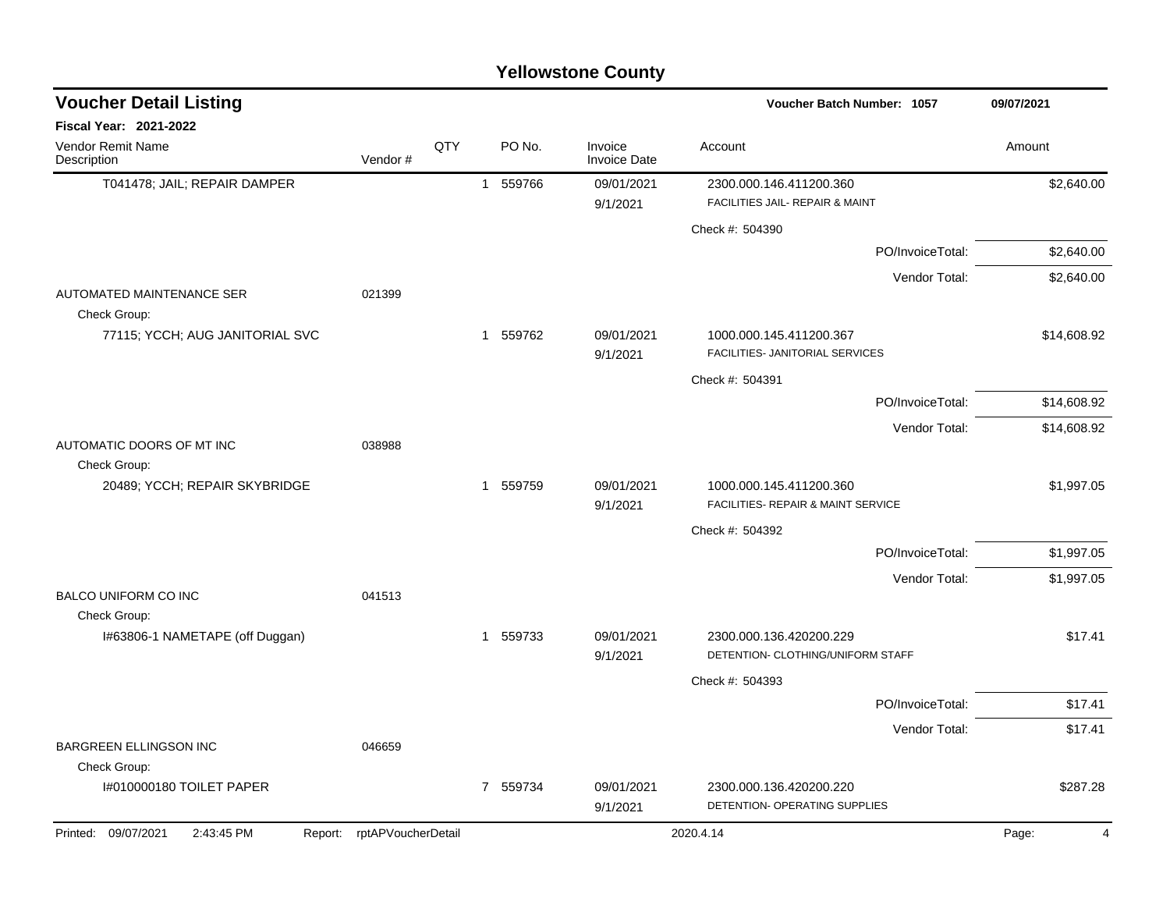| <b>Yellowstone County</b> |  |
|---------------------------|--|
|---------------------------|--|

| <b>Voucher Detail Listing</b>                    |                    |     |             |                                | Voucher Batch Number: 1057                                    | 09/07/2021              |
|--------------------------------------------------|--------------------|-----|-------------|--------------------------------|---------------------------------------------------------------|-------------------------|
| <b>Fiscal Year: 2021-2022</b>                    |                    |     |             |                                |                                                               |                         |
| Vendor Remit Name<br>Description                 | Vendor#            | QTY | PO No.      | Invoice<br><b>Invoice Date</b> | Account                                                       | Amount                  |
| T041478; JAIL; REPAIR DAMPER                     |                    |     | 1 559766    | 09/01/2021                     | 2300.000.146.411200.360                                       | \$2,640.00              |
|                                                  |                    |     |             | 9/1/2021                       | FACILITIES JAIL- REPAIR & MAINT                               |                         |
|                                                  |                    |     |             |                                | Check #: 504390                                               |                         |
|                                                  |                    |     |             |                                | PO/InvoiceTotal:                                              | \$2,640.00              |
|                                                  |                    |     |             |                                | Vendor Total:                                                 | \$2,640.00              |
| <b>AUTOMATED MAINTENANCE SER</b><br>Check Group: | 021399             |     |             |                                |                                                               |                         |
| 77115; YCCH; AUG JANITORIAL SVC                  |                    |     | 1 559762    | 09/01/2021<br>9/1/2021         | 1000.000.145.411200.367<br>FACILITIES- JANITORIAL SERVICES    | \$14,608.92             |
|                                                  |                    |     |             |                                | Check #: 504391                                               |                         |
|                                                  |                    |     |             |                                | PO/InvoiceTotal:                                              | \$14,608.92             |
|                                                  |                    |     |             |                                | Vendor Total:                                                 | \$14,608.92             |
| AUTOMATIC DOORS OF MT INC<br>Check Group:        | 038988             |     |             |                                |                                                               |                         |
| 20489; YCCH; REPAIR SKYBRIDGE                    |                    |     | 1 559759    | 09/01/2021<br>9/1/2021         | 1000.000.145.411200.360<br>FACILITIES- REPAIR & MAINT SERVICE | \$1,997.05              |
|                                                  |                    |     |             |                                | Check #: 504392                                               |                         |
|                                                  |                    |     |             |                                | PO/InvoiceTotal:                                              | \$1,997.05              |
|                                                  |                    |     |             |                                | Vendor Total:                                                 | \$1,997.05              |
| <b>BALCO UNIFORM CO INC</b>                      | 041513             |     |             |                                |                                                               |                         |
| Check Group:                                     |                    |     |             |                                |                                                               |                         |
| I#63806-1 NAMETAPE (off Duggan)                  |                    |     | 559733<br>1 | 09/01/2021<br>9/1/2021         | 2300.000.136.420200.229<br>DETENTION- CLOTHING/UNIFORM STAFF  | \$17.41                 |
|                                                  |                    |     |             |                                | Check #: 504393                                               |                         |
|                                                  |                    |     |             |                                | PO/InvoiceTotal:                                              | \$17.41                 |
|                                                  |                    |     |             |                                | Vendor Total:                                                 | \$17.41                 |
| <b>BARGREEN ELLINGSON INC</b>                    | 046659             |     |             |                                |                                                               |                         |
| Check Group:<br>1#010000180 TOILET PAPER         |                    |     | 7 559734    | 09/01/2021                     | 2300.000.136.420200.220                                       | \$287.28                |
|                                                  |                    |     |             | 9/1/2021                       | DETENTION- OPERATING SUPPLIES                                 |                         |
| Printed: 09/07/2021<br>2:43:45 PM<br>Report:     | rptAPVoucherDetail |     |             |                                | 2020.4.14                                                     | Page:<br>$\overline{4}$ |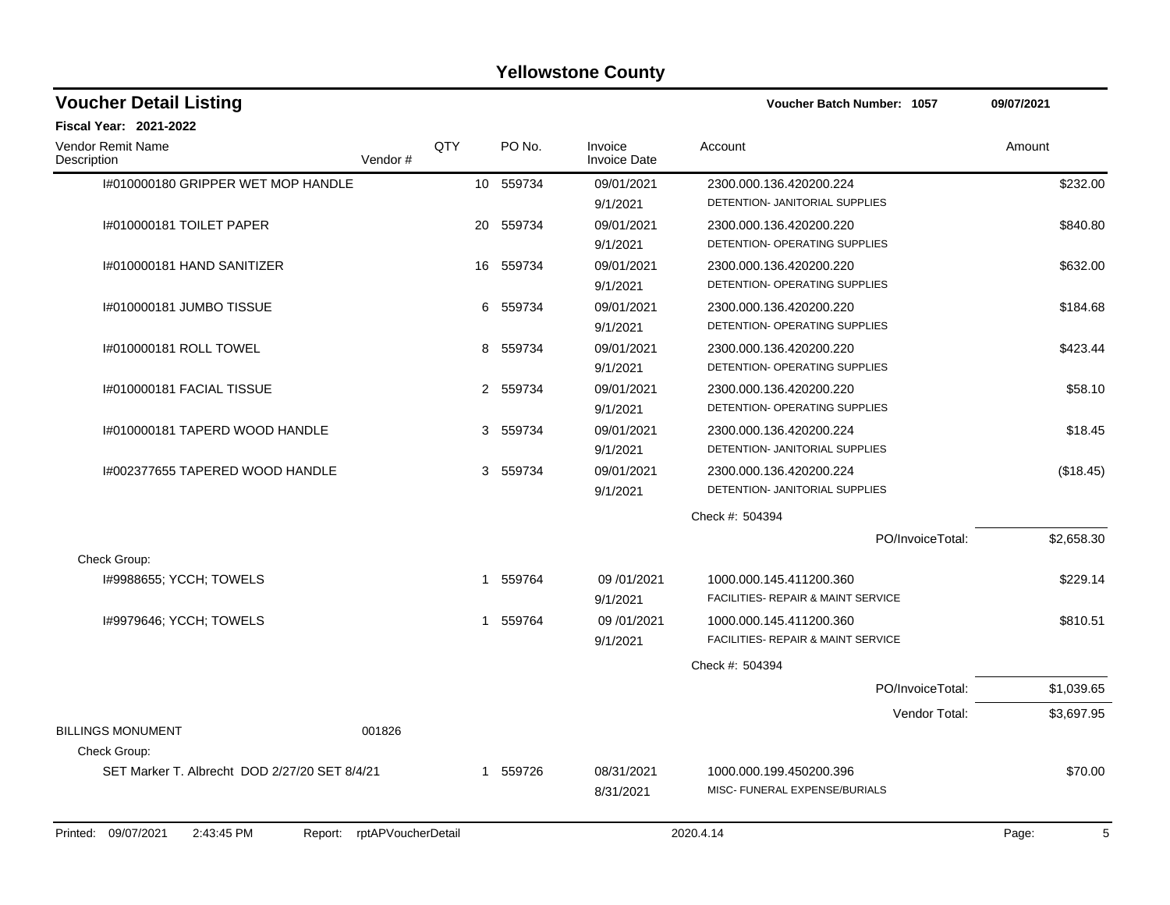| <b>Voucher Detail Listing</b>                      |                    |           |                                | Voucher Batch Number: 1057                                    | 09/07/2021 |
|----------------------------------------------------|--------------------|-----------|--------------------------------|---------------------------------------------------------------|------------|
| Fiscal Year: 2021-2022                             |                    |           |                                |                                                               |            |
| Vendor Remit Name<br>Description<br>Vendor#        | QTY                | PO No.    | Invoice<br><b>Invoice Date</b> | Account                                                       | Amount     |
| I#010000180 GRIPPER WET MOP HANDLE                 |                    | 10 559734 | 09/01/2021<br>9/1/2021         | 2300.000.136.420200.224<br>DETENTION- JANITORIAL SUPPLIES     | \$232.00   |
| 1#010000181 TOILET PAPER                           | 20                 | 559734    | 09/01/2021<br>9/1/2021         | 2300.000.136.420200.220<br>DETENTION- OPERATING SUPPLIES      | \$840.80   |
| I#010000181 HAND SANITIZER                         |                    | 16 559734 | 09/01/2021<br>9/1/2021         | 2300.000.136.420200.220<br>DETENTION- OPERATING SUPPLIES      | \$632.00   |
| I#010000181 JUMBO TISSUE                           |                    | 6 559734  | 09/01/2021<br>9/1/2021         | 2300.000.136.420200.220<br>DETENTION- OPERATING SUPPLIES      | \$184.68   |
| 1#010000181 ROLL TOWEL                             | 8                  | 559734    | 09/01/2021<br>9/1/2021         | 2300.000.136.420200.220<br>DETENTION- OPERATING SUPPLIES      | \$423.44   |
| I#010000181 FACIAL TISSUE                          |                    | 2 559734  | 09/01/2021<br>9/1/2021         | 2300.000.136.420200.220<br>DETENTION- OPERATING SUPPLIES      | \$58.10    |
| I#010000181 TAPERD WOOD HANDLE                     | 3                  | 559734    | 09/01/2021<br>9/1/2021         | 2300.000.136.420200.224<br>DETENTION- JANITORIAL SUPPLIES     | \$18.45    |
| I#002377655 TAPERED WOOD HANDLE                    | 3                  | 559734    | 09/01/2021<br>9/1/2021         | 2300.000.136.420200.224<br>DETENTION- JANITORIAL SUPPLIES     | (\$18.45)  |
|                                                    |                    |           |                                | Check #: 504394                                               |            |
|                                                    |                    |           |                                | PO/InvoiceTotal:                                              | \$2,658.30 |
| Check Group:                                       |                    |           |                                |                                                               |            |
| I#9988655; YCCH; TOWELS                            | 1                  | 559764    | 09/01/2021<br>9/1/2021         | 1000.000.145.411200.360<br>FACILITIES- REPAIR & MAINT SERVICE | \$229.14   |
| I#9979646; YCCH; TOWELS                            | $\overline{1}$     | 559764    | 09/01/2021<br>9/1/2021         | 1000.000.145.411200.360<br>FACILITIES- REPAIR & MAINT SERVICE | \$810.51   |
|                                                    |                    |           |                                | Check #: 504394                                               |            |
|                                                    |                    |           |                                | PO/InvoiceTotal:                                              | \$1,039.65 |
|                                                    |                    |           |                                | Vendor Total:                                                 | \$3,697.95 |
| <b>BILLINGS MONUMENT</b><br>001826<br>Check Group: |                    |           |                                |                                                               |            |
| SET Marker T. Albrecht DOD 2/27/20 SET 8/4/21      | 1                  | 559726    | 08/31/2021<br>8/31/2021        | 1000.000.199.450200.396<br>MISC- FUNERAL EXPENSE/BURIALS      | \$70.00    |
| 2:43:45 PM<br>Printed: 09/07/2021<br>Report:       | rptAPVoucherDetail |           |                                | 2020.4.14                                                     | 5<br>Page: |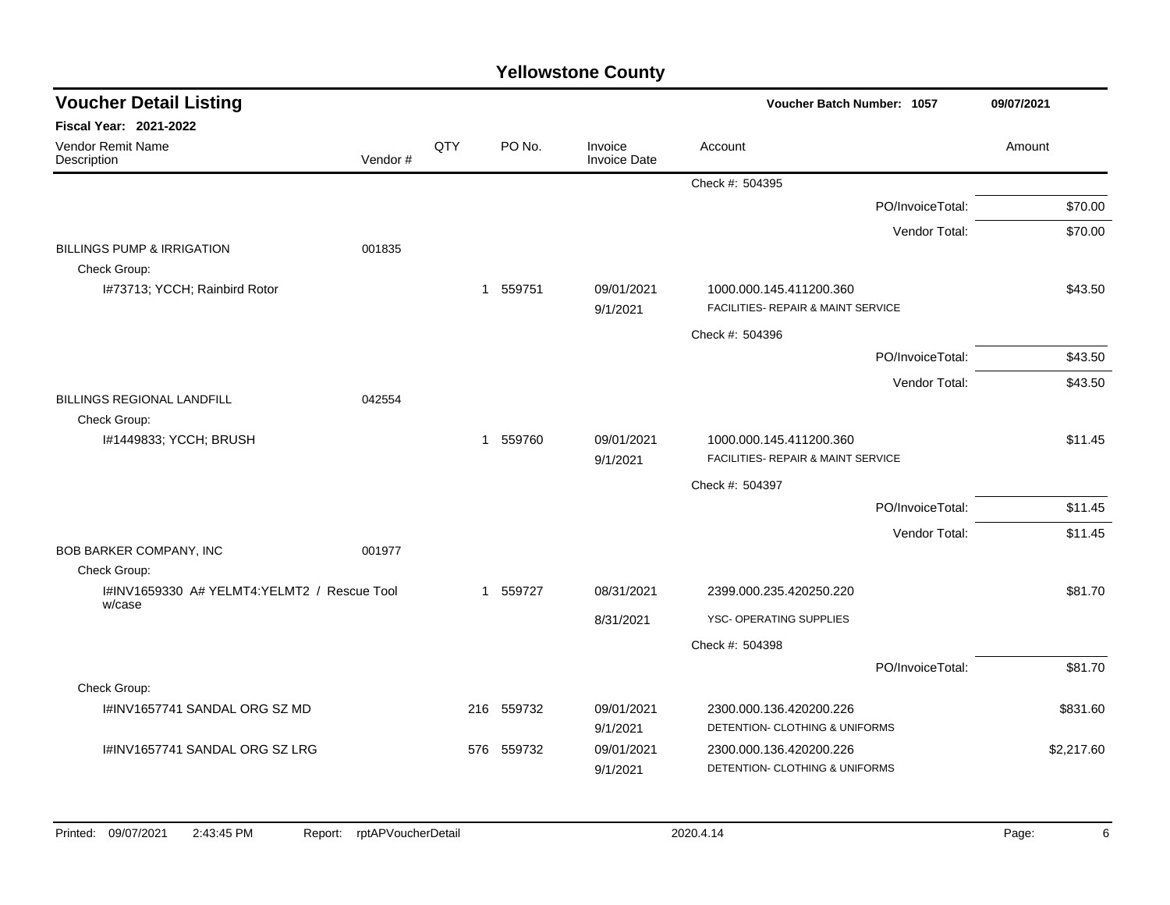| <b>Voucher Detail Listing</b>                         |         |     |                        |                                | Voucher Batch Number: 1057                                    |                  | 09/07/2021 |  |
|-------------------------------------------------------|---------|-----|------------------------|--------------------------------|---------------------------------------------------------------|------------------|------------|--|
| Fiscal Year: 2021-2022                                |         |     |                        |                                |                                                               |                  |            |  |
| Vendor Remit Name<br>Description                      | Vendor# | QTY | PO No.                 | Invoice<br><b>Invoice Date</b> | Account                                                       |                  | Amount     |  |
|                                                       |         |     |                        |                                | Check #: 504395                                               |                  |            |  |
|                                                       |         |     |                        |                                |                                                               | PO/InvoiceTotal: | \$70.00    |  |
|                                                       |         |     |                        |                                |                                                               | Vendor Total:    | \$70.00    |  |
| <b>BILLINGS PUMP &amp; IRRIGATION</b><br>Check Group: | 001835  |     |                        |                                |                                                               |                  |            |  |
| I#73713; YCCH; Rainbird Rotor                         |         |     | 1 559751               | 09/01/2021<br>9/1/2021         | 1000.000.145.411200.360<br>FACILITIES- REPAIR & MAINT SERVICE |                  | \$43.50    |  |
|                                                       |         |     |                        |                                | Check #: 504396                                               |                  |            |  |
|                                                       |         |     |                        |                                |                                                               | PO/InvoiceTotal: | \$43.50    |  |
|                                                       |         |     |                        |                                |                                                               | Vendor Total:    | \$43.50    |  |
| <b>BILLINGS REGIONAL LANDFILL</b>                     | 042554  |     |                        |                                |                                                               |                  |            |  |
| Check Group:                                          |         |     |                        |                                |                                                               |                  |            |  |
| I#1449833; YCCH; BRUSH                                |         |     | 559760<br>$\mathbf{1}$ | 09/01/2021<br>9/1/2021         | 1000.000.145.411200.360<br>FACILITIES- REPAIR & MAINT SERVICE |                  | \$11.45    |  |
|                                                       |         |     |                        |                                | Check #: 504397                                               |                  |            |  |
|                                                       |         |     |                        |                                |                                                               | PO/InvoiceTotal: | \$11.45    |  |
|                                                       |         |     |                        |                                |                                                               | Vendor Total:    | \$11.45    |  |
| BOB BARKER COMPANY, INC                               | 001977  |     |                        |                                |                                                               |                  |            |  |
| Check Group:                                          |         |     |                        |                                |                                                               |                  |            |  |
| I#INV1659330 A# YELMT4:YELMT2 / Rescue Tool<br>w/case |         |     | 1 559727               | 08/31/2021                     | 2399.000.235.420250.220                                       |                  | \$81.70    |  |
|                                                       |         |     |                        | 8/31/2021                      | YSC- OPERATING SUPPLIES                                       |                  |            |  |
|                                                       |         |     |                        |                                | Check #: 504398                                               |                  |            |  |
|                                                       |         |     |                        |                                |                                                               | PO/InvoiceTotal: | \$81.70    |  |
| Check Group:                                          |         |     |                        |                                |                                                               |                  |            |  |
| I#INV1657741 SANDAL ORG SZ MD                         |         |     | 216 559732             | 09/01/2021                     | 2300.000.136.420200.226                                       |                  | \$831.60   |  |
|                                                       |         |     |                        | 9/1/2021                       | DETENTION- CLOTHING & UNIFORMS                                |                  |            |  |
| I#INV1657741 SANDAL ORG SZ LRG                        |         | 576 | 559732                 | 09/01/2021<br>9/1/2021         | 2300.000.136.420200.226<br>DETENTION- CLOTHING & UNIFORMS     |                  | \$2,217.60 |  |
|                                                       |         |     |                        |                                |                                                               |                  |            |  |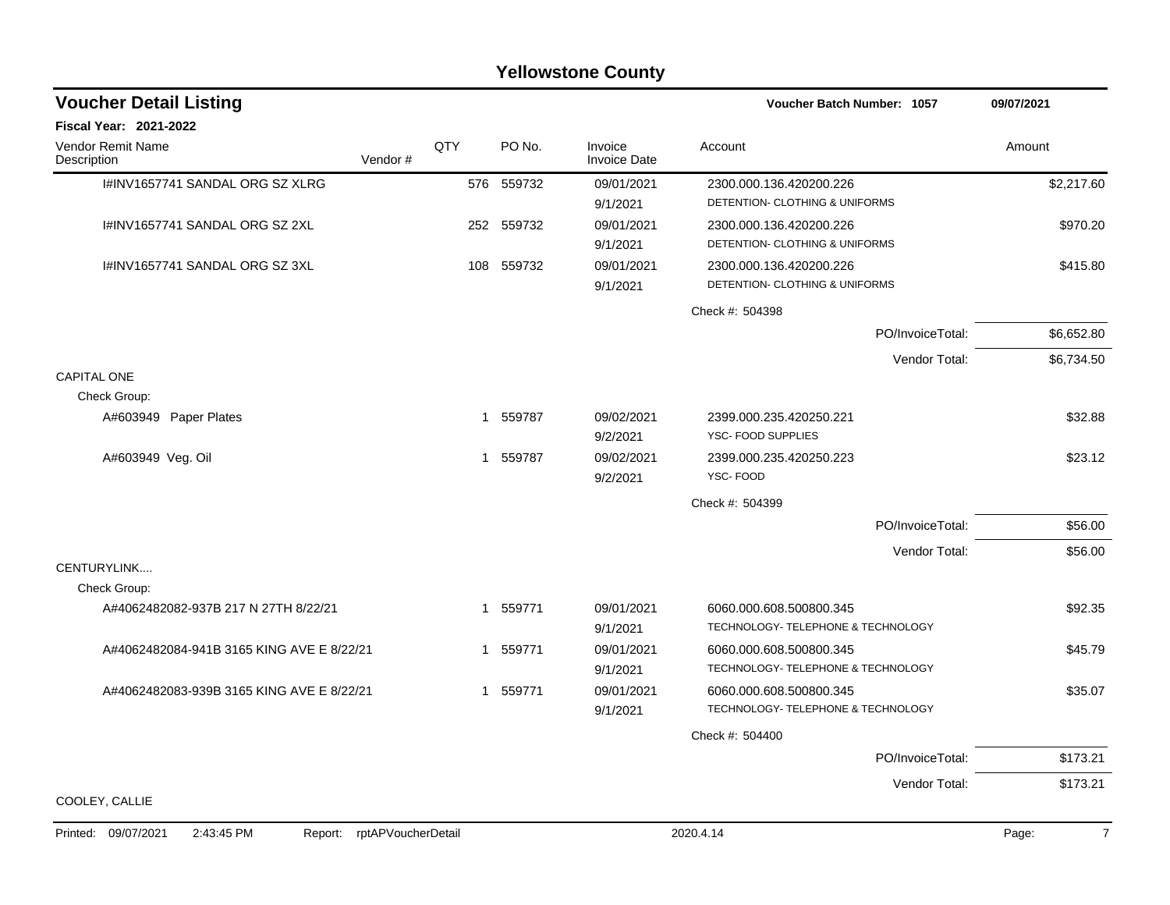#### I#INV1657741 SANDAL ORG SZ XLRG 576 559732 09/01/2021 2300.000.136.420200.226 \$2,217.60 9/1/2021 DETENTION- CLOTHING & UNIFORMS I#INV1657741 SANDAL ORG SZ 2XL 252 559732 09/01/2021 2300.000.136.420200.226 \$970.20 9/1/2021 DETENTION- CLOTHING & UNIFORMS I#INV1657741 SANDAL ORG SZ 3XL 108 559732 09/01/2021 2300.000.136.420200.226 \$415.80 9/1/2021 DETENTION- CLOTHING & UNIFORMS Check #: 504398 PO/InvoiceTotal: \$6,652.80 Vendor Total: \$6,734.50 CAPITAL ONE Check Group: A#603949 Paper Plates 32.88 and 559787 09/02/2021 2399.000.235.420250.221 532.88 9/2/2021 YSC- FOOD SUPPLIES A#603949 Veg. Oil 1 1 559787 09/02/2021 2399.000.235.420250.223 323.12 9/2/2021 YSC- FOOD Check #: 504399 PO/InvoiceTotal: \$56.00 Vendor Total: \$56.00 CENTURYLINK.... Check Group: A#4062482082-937B 217 N 27TH 8/22/21 21 559771 09/01/2021 6060.000.608.500800.345 9/1/2021 TECHNOLOGY- TELEPHONE & TECHNOLOGY A#4062482084-941B 3165 KING AVE E 8/22/21 1 559771 09/01/2021 6060.000.608.500800.345 9/1/2021 TECHNOLOGY- TELEPHONE & TECHNOLOGY A#4062482083-939B 3165 KING AVE E 8/22/21 1 559771 09/01/2021 6060.000.608.500800.345 9/1/2021 TECHNOLOGY- TELEPHONE & TECHNOLOGY Check #: 504400 PO/InvoiceTotal: \$173.21 Vendor Total: \$173.21 COOLEY, CALLIE **Voucher Batch Number: Yellowstone County** Vendor Remit Name **Description Voucher Detail Listing Fiscal Year: 2021-2022 1057 09/07/2021** PO No. Invoice Account Amount Amount Amount Amount Vendor # **QTY** Invoice Date

#### Printed: 09/07/2021 2:43:45 PM Report: rptAPVoucherDetail 2020.4.14 2020.4.14 Page: 7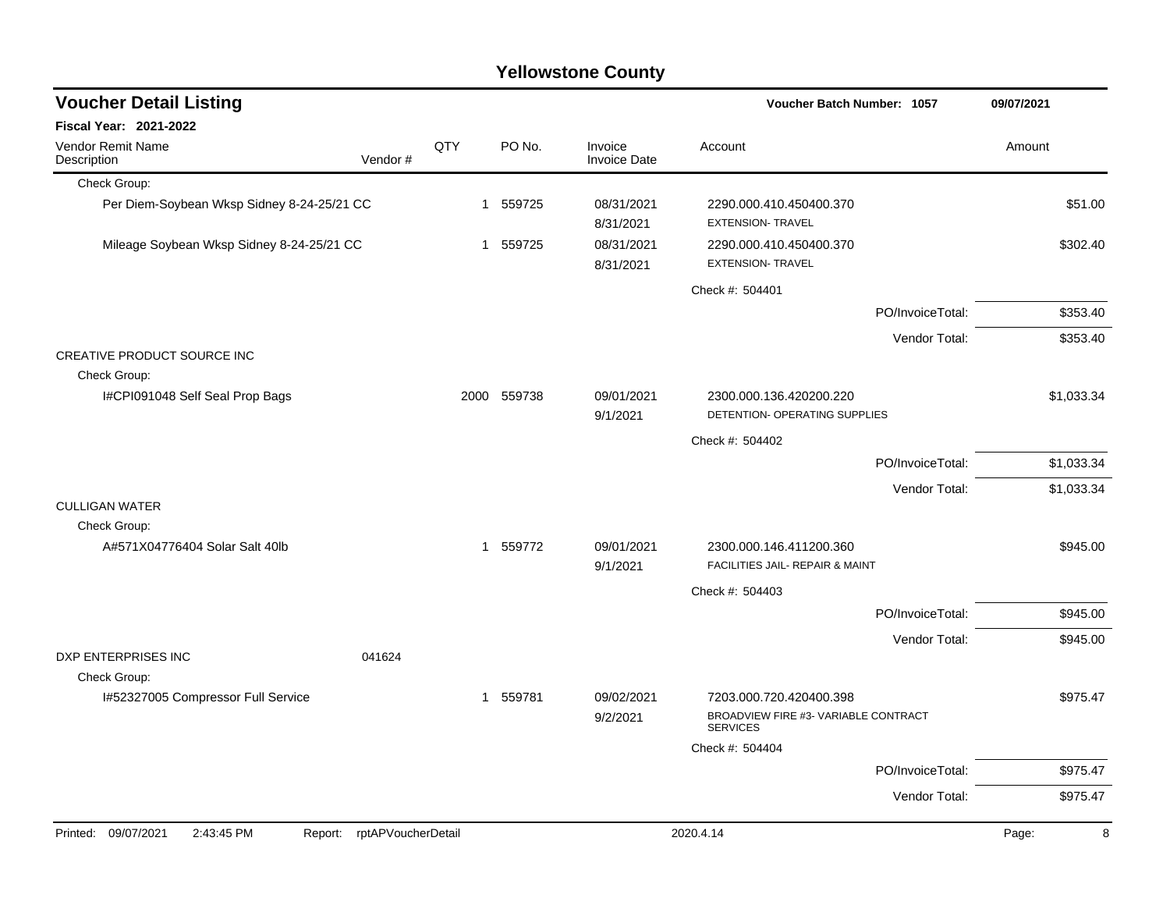| <b>Voucher Detail Listing</b>                                      |     |             |                                | Voucher Batch Number: 1057                                                         | 09/07/2021 |
|--------------------------------------------------------------------|-----|-------------|--------------------------------|------------------------------------------------------------------------------------|------------|
| <b>Fiscal Year: 2021-2022</b>                                      |     |             |                                |                                                                                    |            |
| <b>Vendor Remit Name</b><br>Vendor#<br>Description                 | QTY | PO No.      | Invoice<br><b>Invoice Date</b> | Account                                                                            | Amount     |
| Check Group:                                                       |     |             |                                |                                                                                    |            |
| Per Diem-Soybean Wksp Sidney 8-24-25/21 CC                         |     | 1 559725    | 08/31/2021<br>8/31/2021        | 2290.000.410.450400.370<br><b>EXTENSION- TRAVEL</b>                                | \$51.00    |
| Mileage Soybean Wksp Sidney 8-24-25/21 CC                          |     | 1 559725    | 08/31/2021<br>8/31/2021        | 2290.000.410.450400.370<br><b>EXTENSION- TRAVEL</b>                                | \$302.40   |
|                                                                    |     |             |                                | Check #: 504401                                                                    |            |
|                                                                    |     |             |                                | PO/InvoiceTotal:                                                                   | \$353.40   |
|                                                                    |     |             |                                | Vendor Total:                                                                      | \$353.40   |
| CREATIVE PRODUCT SOURCE INC                                        |     |             |                                |                                                                                    |            |
| Check Group:                                                       |     |             |                                |                                                                                    |            |
| I#CPI091048 Self Seal Prop Bags                                    |     | 2000 559738 | 09/01/2021<br>9/1/2021         | 2300.000.136.420200.220<br>DETENTION- OPERATING SUPPLIES                           | \$1,033.34 |
|                                                                    |     |             |                                | Check #: 504402                                                                    |            |
|                                                                    |     |             |                                | PO/InvoiceTotal:                                                                   | \$1,033.34 |
|                                                                    |     |             |                                | Vendor Total:                                                                      | \$1,033.34 |
| <b>CULLIGAN WATER</b><br>Check Group:                              |     |             |                                |                                                                                    |            |
| A#571X04776404 Solar Salt 40lb                                     |     | 1 559772    | 09/01/2021<br>9/1/2021         | 2300.000.146.411200.360<br>FACILITIES JAIL- REPAIR & MAINT                         | \$945.00   |
|                                                                    |     |             |                                | Check #: 504403                                                                    |            |
|                                                                    |     |             |                                | PO/InvoiceTotal:                                                                   | \$945.00   |
|                                                                    |     |             |                                | Vendor Total:                                                                      | \$945.00   |
| DXP ENTERPRISES INC<br>041624<br>Check Group:                      |     |             |                                |                                                                                    |            |
| I#52327005 Compressor Full Service                                 |     | 1 559781    | 09/02/2021<br>9/2/2021         | 7203.000.720.420400.398<br>BROADVIEW FIRE #3- VARIABLE CONTRACT<br><b>SERVICES</b> | \$975.47   |
|                                                                    |     |             |                                | Check #: 504404                                                                    |            |
|                                                                    |     |             |                                | PO/InvoiceTotal:                                                                   | \$975.47   |
|                                                                    |     |             |                                | Vendor Total:                                                                      | \$975.47   |
| Printed: 09/07/2021<br>2:43:45 PM<br>rptAPVoucherDetail<br>Report: |     |             |                                | 2020.4.14                                                                          | 8<br>Page: |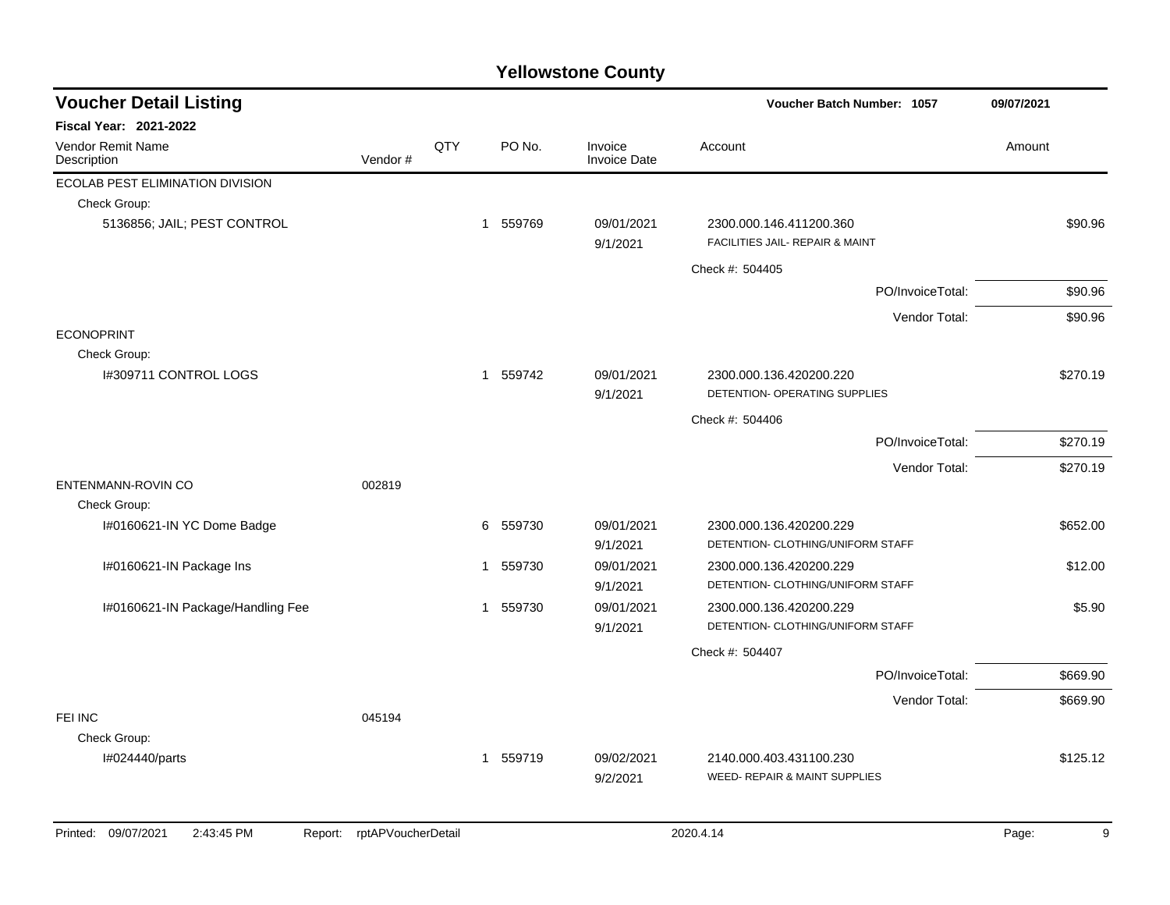| <b>Voucher Detail Listing</b>      |         |     |                        |                                | Voucher Batch Number: 1057                                 | 09/07/2021 |
|------------------------------------|---------|-----|------------------------|--------------------------------|------------------------------------------------------------|------------|
| <b>Fiscal Year: 2021-2022</b>      |         |     |                        |                                |                                                            |            |
| Vendor Remit Name<br>Description   | Vendor# | QTY | PO No.                 | Invoice<br><b>Invoice Date</b> | Account                                                    | Amount     |
| ECOLAB PEST ELIMINATION DIVISION   |         |     |                        |                                |                                                            |            |
| Check Group:                       |         |     |                        |                                |                                                            |            |
| 5136856; JAIL; PEST CONTROL        |         |     | 559769<br>$\mathbf{1}$ | 09/01/2021<br>9/1/2021         | 2300.000.146.411200.360<br>FACILITIES JAIL- REPAIR & MAINT | \$90.96    |
|                                    |         |     |                        |                                | Check #: 504405                                            |            |
|                                    |         |     |                        |                                | PO/InvoiceTotal:                                           | \$90.96    |
|                                    |         |     |                        |                                | Vendor Total:                                              | \$90.96    |
| <b>ECONOPRINT</b>                  |         |     |                        |                                |                                                            |            |
| Check Group:                       |         |     |                        |                                |                                                            |            |
| 1#309711 CONTROL LOGS              |         |     | 1 559742               | 09/01/2021                     | 2300.000.136.420200.220<br>DETENTION- OPERATING SUPPLIES   | \$270.19   |
|                                    |         |     |                        | 9/1/2021                       |                                                            |            |
|                                    |         |     |                        |                                | Check #: 504406                                            |            |
|                                    |         |     |                        |                                | PO/InvoiceTotal:                                           | \$270.19   |
|                                    |         |     |                        |                                | Vendor Total:                                              | \$270.19   |
| ENTENMANN-ROVIN CO<br>Check Group: | 002819  |     |                        |                                |                                                            |            |
| I#0160621-IN YC Dome Badge         |         |     | 6<br>559730            | 09/01/2021                     | 2300.000.136.420200.229                                    | \$652.00   |
|                                    |         |     |                        | 9/1/2021                       | DETENTION- CLOTHING/UNIFORM STAFF                          |            |
| I#0160621-IN Package Ins           |         |     | 559730<br>1            | 09/01/2021                     | 2300.000.136.420200.229                                    | \$12.00    |
|                                    |         |     |                        | 9/1/2021                       | DETENTION- CLOTHING/UNIFORM STAFF                          |            |
| I#0160621-IN Package/Handling Fee  |         |     | 1 559730               | 09/01/2021                     | 2300.000.136.420200.229                                    | \$5.90     |
|                                    |         |     |                        | 9/1/2021                       | DETENTION- CLOTHING/UNIFORM STAFF                          |            |
|                                    |         |     |                        |                                | Check #: 504407                                            |            |
|                                    |         |     |                        |                                | PO/InvoiceTotal:                                           | \$669.90   |
|                                    |         |     |                        |                                | Vendor Total:                                              | \$669.90   |
| FEI INC                            | 045194  |     |                        |                                |                                                            |            |
| Check Group:                       |         |     |                        |                                |                                                            |            |
| I#024440/parts                     |         |     | 1 559719               | 09/02/2021                     | 2140.000.403.431100.230                                    | \$125.12   |
|                                    |         |     |                        | 9/2/2021                       | WEED- REPAIR & MAINT SUPPLIES                              |            |
|                                    |         |     |                        |                                |                                                            |            |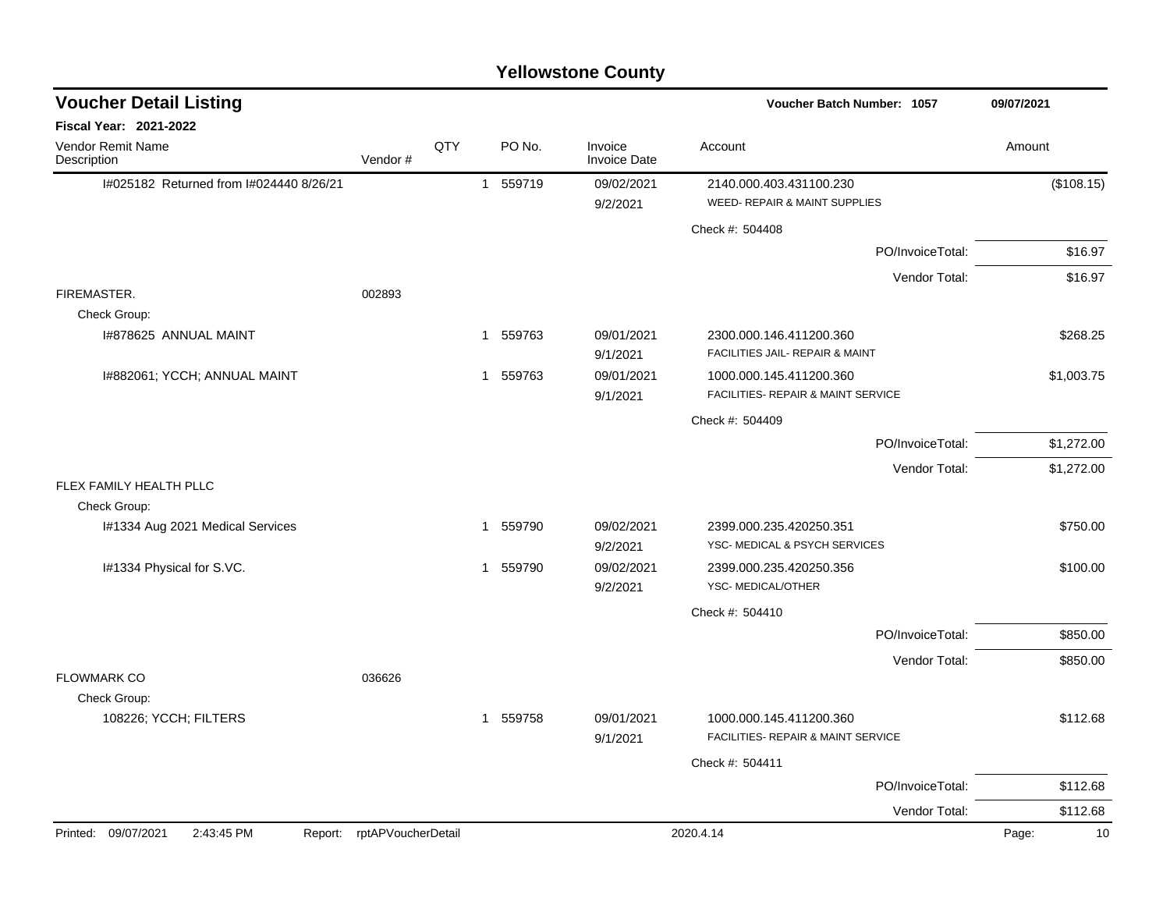|                                              |                    |     |                        | <b>Yellowstone County</b>      |                                                               |                  |             |
|----------------------------------------------|--------------------|-----|------------------------|--------------------------------|---------------------------------------------------------------|------------------|-------------|
| <b>Voucher Detail Listing</b>                |                    |     |                        |                                | <b>Voucher Batch Number: 1057</b>                             |                  | 09/07/2021  |
| Fiscal Year: 2021-2022                       |                    |     |                        |                                |                                                               |                  |             |
| Vendor Remit Name<br>Description             | Vendor#            | QTY | PO No.                 | Invoice<br><b>Invoice Date</b> | Account                                                       |                  | Amount      |
| I#025182 Returned from I#024440 8/26/21      |                    |     | 559719<br>1            | 09/02/2021                     | 2140.000.403.431100.230                                       |                  | (\$108.15)  |
|                                              |                    |     |                        | 9/2/2021                       | <b>WEED- REPAIR &amp; MAINT SUPPLIES</b>                      |                  |             |
|                                              |                    |     |                        |                                | Check #: 504408                                               |                  |             |
|                                              |                    |     |                        |                                |                                                               | PO/InvoiceTotal: | \$16.97     |
|                                              |                    |     |                        |                                |                                                               | Vendor Total:    | \$16.97     |
| FIREMASTER.                                  | 002893             |     |                        |                                |                                                               |                  |             |
| Check Group:                                 |                    |     |                        |                                |                                                               |                  |             |
| 1#878625 ANNUAL MAINT                        |                    |     | 559763<br>1            | 09/01/2021<br>9/1/2021         | 2300.000.146.411200.360<br>FACILITIES JAIL- REPAIR & MAINT    |                  | \$268.25    |
| I#882061; YCCH; ANNUAL MAINT                 |                    |     | 559763<br>1            | 09/01/2021                     | 1000.000.145.411200.360                                       |                  | \$1,003.75  |
|                                              |                    |     |                        | 9/1/2021                       | FACILITIES- REPAIR & MAINT SERVICE                            |                  |             |
|                                              |                    |     |                        |                                | Check #: 504409                                               |                  |             |
|                                              |                    |     |                        |                                |                                                               | PO/InvoiceTotal: | \$1,272.00  |
|                                              |                    |     |                        |                                |                                                               | Vendor Total:    | \$1,272.00  |
| FLEX FAMILY HEALTH PLLC<br>Check Group:      |                    |     |                        |                                |                                                               |                  |             |
| I#1334 Aug 2021 Medical Services             |                    |     | 559790<br>$\mathbf{1}$ | 09/02/2021                     | 2399.000.235.420250.351                                       |                  | \$750.00    |
|                                              |                    |     |                        | 9/2/2021                       | YSC- MEDICAL & PSYCH SERVICES                                 |                  |             |
| I#1334 Physical for S.VC.                    |                    |     | 1 559790               | 09/02/2021                     | 2399.000.235.420250.356                                       |                  | \$100.00    |
|                                              |                    |     |                        | 9/2/2021                       | YSC-MEDICAL/OTHER                                             |                  |             |
|                                              |                    |     |                        |                                | Check #: 504410                                               |                  |             |
|                                              |                    |     |                        |                                |                                                               | PO/InvoiceTotal: | \$850.00    |
|                                              |                    |     |                        |                                |                                                               | Vendor Total:    | \$850.00    |
| <b>FLOWMARK CO</b>                           | 036626             |     |                        |                                |                                                               |                  |             |
| Check Group:                                 |                    |     |                        |                                |                                                               |                  |             |
| 108226; YCCH; FILTERS                        |                    |     | 1 559758               | 09/01/2021<br>9/1/2021         | 1000.000.145.411200.360<br>FACILITIES- REPAIR & MAINT SERVICE |                  | \$112.68    |
|                                              |                    |     |                        |                                | Check #: 504411                                               |                  |             |
|                                              |                    |     |                        |                                |                                                               | PO/InvoiceTotal: | \$112.68    |
|                                              |                    |     |                        |                                |                                                               | Vendor Total:    | \$112.68    |
| Printed: 09/07/2021<br>2:43:45 PM<br>Report: | rptAPVoucherDetail |     |                        |                                | 2020.4.14                                                     |                  | Page:<br>10 |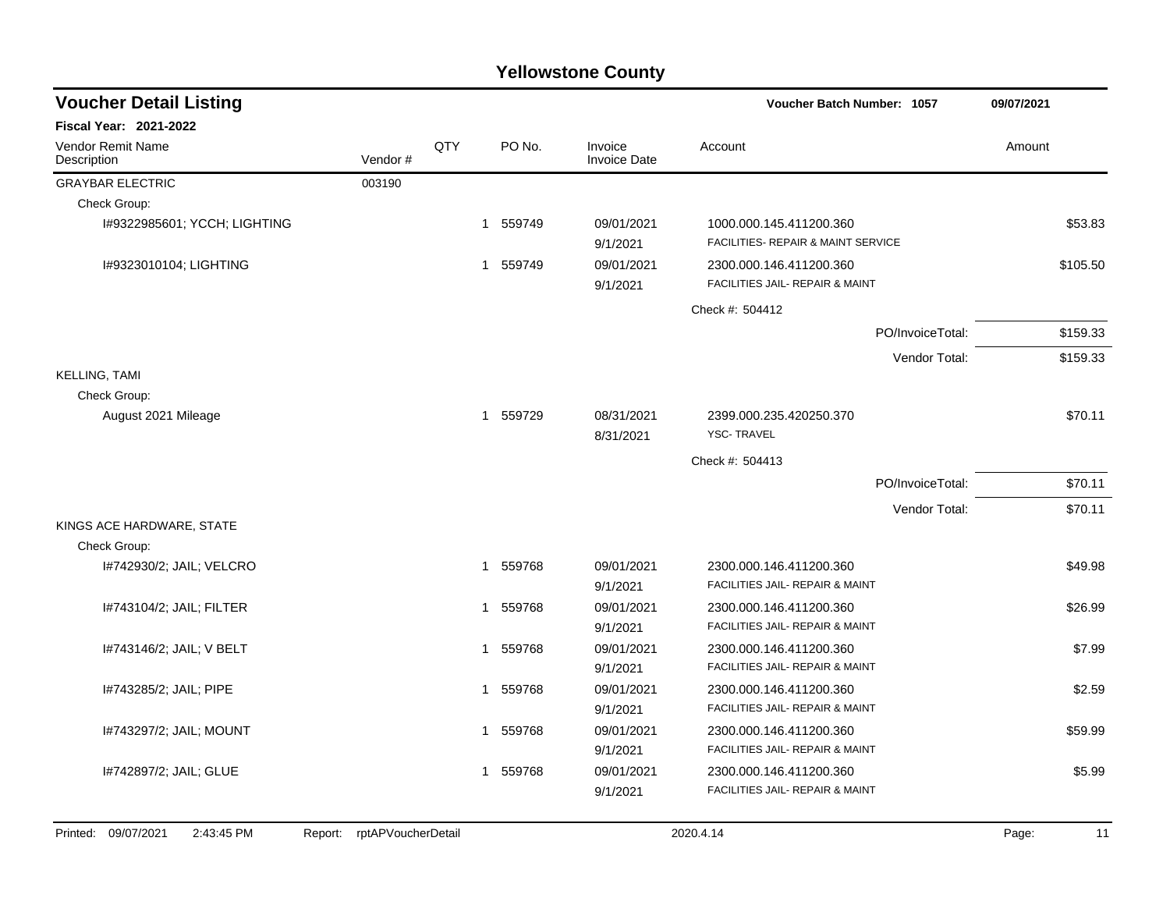| <b>Voucher Detail Listing</b>           |         |     |                        |        |                                | <b>Voucher Batch Number: 1057</b>                             |                  | 09/07/2021 |  |
|-----------------------------------------|---------|-----|------------------------|--------|--------------------------------|---------------------------------------------------------------|------------------|------------|--|
| <b>Fiscal Year: 2021-2022</b>           |         |     |                        |        |                                |                                                               |                  |            |  |
| <b>Vendor Remit Name</b><br>Description | Vendor# | QTY |                        | PO No. | Invoice<br><b>Invoice Date</b> | Account                                                       |                  | Amount     |  |
| <b>GRAYBAR ELECTRIC</b>                 | 003190  |     |                        |        |                                |                                                               |                  |            |  |
| Check Group:                            |         |     |                        |        |                                |                                                               |                  |            |  |
| I#9322985601; YCCH; LIGHTING            |         |     | 1 559749               |        | 09/01/2021<br>9/1/2021         | 1000.000.145.411200.360<br>FACILITIES- REPAIR & MAINT SERVICE |                  | \$53.83    |  |
| I#9323010104; LIGHTING                  |         |     | 559749<br>$\mathbf{1}$ |        | 09/01/2021<br>9/1/2021         | 2300.000.146.411200.360<br>FACILITIES JAIL- REPAIR & MAINT    |                  | \$105.50   |  |
|                                         |         |     |                        |        |                                | Check #: 504412                                               |                  |            |  |
|                                         |         |     |                        |        |                                |                                                               | PO/InvoiceTotal: | \$159.33   |  |
|                                         |         |     |                        |        |                                |                                                               | Vendor Total:    | \$159.33   |  |
| <b>KELLING, TAMI</b>                    |         |     |                        |        |                                |                                                               |                  |            |  |
| Check Group:                            |         |     |                        |        |                                |                                                               |                  |            |  |
| August 2021 Mileage                     |         |     | 1 559729               |        | 08/31/2021<br>8/31/2021        | 2399.000.235.420250.370<br><b>YSC-TRAVEL</b>                  |                  | \$70.11    |  |
|                                         |         |     |                        |        |                                | Check #: 504413                                               |                  |            |  |
|                                         |         |     |                        |        |                                |                                                               | PO/InvoiceTotal: | \$70.11    |  |
|                                         |         |     |                        |        |                                |                                                               | Vendor Total:    | \$70.11    |  |
| KINGS ACE HARDWARE, STATE               |         |     |                        |        |                                |                                                               |                  |            |  |
| Check Group:                            |         |     |                        |        |                                |                                                               |                  |            |  |
| I#742930/2; JAIL; VELCRO                |         |     | 1 559768               |        | 09/01/2021<br>9/1/2021         | 2300.000.146.411200.360<br>FACILITIES JAIL- REPAIR & MAINT    |                  | \$49.98    |  |
| I#743104/2; JAIL; FILTER                |         |     | $\mathbf{1}$           | 559768 | 09/01/2021                     | 2300.000.146.411200.360                                       |                  | \$26.99    |  |
|                                         |         |     |                        |        | 9/1/2021                       | FACILITIES JAIL- REPAIR & MAINT                               |                  |            |  |
| I#743146/2; JAIL; V BELT                |         |     | 1                      | 559768 | 09/01/2021                     | 2300.000.146.411200.360                                       |                  | \$7.99     |  |
|                                         |         |     |                        |        | 9/1/2021                       | FACILITIES JAIL- REPAIR & MAINT                               |                  |            |  |
| I#743285/2; JAIL; PIPE                  |         |     | 1                      | 559768 | 09/01/2021                     | 2300.000.146.411200.360                                       |                  | \$2.59     |  |
|                                         |         |     |                        |        | 9/1/2021                       | FACILITIES JAIL- REPAIR & MAINT                               |                  |            |  |
| I#743297/2; JAIL; MOUNT                 |         |     | 1 559768               |        | 09/01/2021                     | 2300.000.146.411200.360                                       |                  | \$59.99    |  |
|                                         |         |     |                        |        | 9/1/2021                       | FACILITIES JAIL- REPAIR & MAINT                               |                  |            |  |
| I#742897/2; JAIL; GLUE                  |         |     | 1 559768               |        | 09/01/2021                     | 2300.000.146.411200.360                                       |                  | \$5.99     |  |
|                                         |         |     |                        |        | 9/1/2021                       | FACILITIES JAIL- REPAIR & MAINT                               |                  |            |  |
|                                         |         |     |                        |        |                                |                                                               |                  |            |  |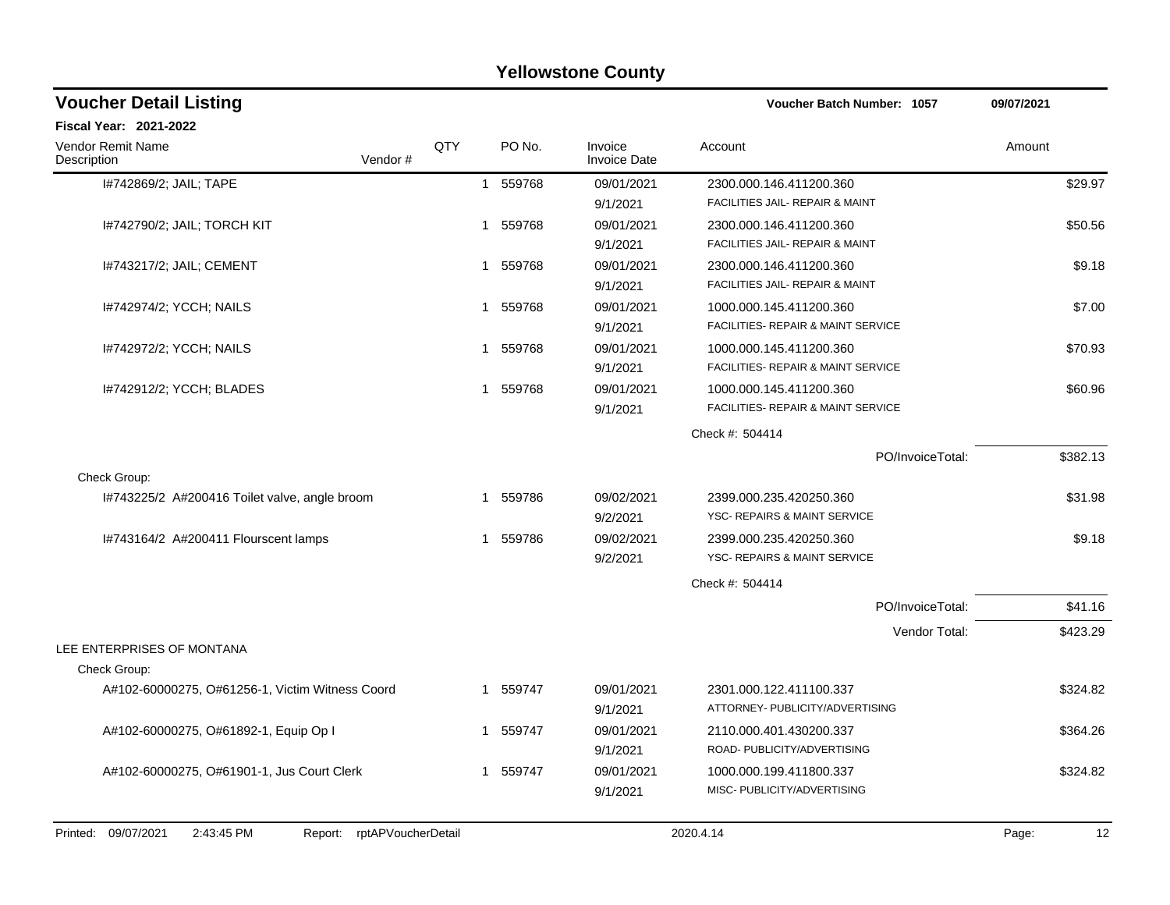| <b>Yellowstone County</b>                       |                            |             |        |                         |                                               |             |  |  |  |  |  |
|-------------------------------------------------|----------------------------|-------------|--------|-------------------------|-----------------------------------------------|-------------|--|--|--|--|--|
| <b>Voucher Detail Listing</b>                   |                            |             |        |                         | Voucher Batch Number: 1057                    | 09/07/2021  |  |  |  |  |  |
| <b>Fiscal Year: 2021-2022</b>                   |                            |             |        |                         |                                               |             |  |  |  |  |  |
| Vendor Remit Name<br>Description                | Vendor#                    | QTY         | PO No. | Invoice<br>Invoice Date | Account                                       | Amount      |  |  |  |  |  |
| I#742869/2; JAIL; TAPE                          |                            | 1           | 559768 | 09/01/2021              | 2300.000.146.411200.360                       | \$29.97     |  |  |  |  |  |
|                                                 |                            |             |        | 9/1/2021                | FACILITIES JAIL- REPAIR & MAINT               |             |  |  |  |  |  |
| 1#742790/2; JAIL; TORCH KIT                     |                            | -1          | 559768 | 09/01/2021              | 2300.000.146.411200.360                       | \$50.56     |  |  |  |  |  |
|                                                 |                            |             |        | 9/1/2021                | FACILITIES JAIL- REPAIR & MAINT               |             |  |  |  |  |  |
| I#743217/2; JAIL; CEMENT                        |                            | 1           | 559768 | 09/01/2021              | 2300.000.146.411200.360                       | \$9.18      |  |  |  |  |  |
|                                                 |                            |             |        | 9/1/2021                | FACILITIES JAIL- REPAIR & MAINT               |             |  |  |  |  |  |
| 1#742974/2; YCCH; NAILS                         |                            | 1           | 559768 | 09/01/2021              | 1000.000.145.411200.360                       | \$7.00      |  |  |  |  |  |
|                                                 |                            |             |        | 9/1/2021                | FACILITIES- REPAIR & MAINT SERVICE            |             |  |  |  |  |  |
| I#742972/2; YCCH; NAILS                         |                            | -1          | 559768 | 09/01/2021              | 1000.000.145.411200.360                       | \$70.93     |  |  |  |  |  |
|                                                 |                            |             |        | 9/1/2021                | <b>FACILITIES- REPAIR &amp; MAINT SERVICE</b> |             |  |  |  |  |  |
| I#742912/2; YCCH; BLADES                        |                            | $\mathbf 1$ | 559768 | 09/01/2021              | 1000.000.145.411200.360                       | \$60.96     |  |  |  |  |  |
|                                                 |                            |             |        | 9/1/2021                | FACILITIES- REPAIR & MAINT SERVICE            |             |  |  |  |  |  |
|                                                 |                            |             |        |                         | Check #: 504414                               |             |  |  |  |  |  |
|                                                 |                            |             |        |                         | PO/InvoiceTotal:                              | \$382.13    |  |  |  |  |  |
| Check Group:                                    |                            |             |        |                         |                                               |             |  |  |  |  |  |
| I#743225/2 A#200416 Toilet valve, angle broom   |                            | 1           | 559786 | 09/02/2021              | 2399.000.235.420250.360                       | \$31.98     |  |  |  |  |  |
|                                                 |                            |             |        | 9/2/2021                | YSC- REPAIRS & MAINT SERVICE                  |             |  |  |  |  |  |
| I#743164/2 A#200411 Flourscent lamps            |                            | -1          | 559786 | 09/02/2021              | 2399.000.235.420250.360                       | \$9.18      |  |  |  |  |  |
|                                                 |                            |             |        | 9/2/2021                | YSC- REPAIRS & MAINT SERVICE                  |             |  |  |  |  |  |
|                                                 |                            |             |        |                         | Check #: 504414                               |             |  |  |  |  |  |
|                                                 |                            |             |        |                         | PO/InvoiceTotal:                              | \$41.16     |  |  |  |  |  |
|                                                 |                            |             |        |                         | Vendor Total:                                 | \$423.29    |  |  |  |  |  |
| LEE ENTERPRISES OF MONTANA                      |                            |             |        |                         |                                               |             |  |  |  |  |  |
| Check Group:                                    |                            |             |        |                         |                                               |             |  |  |  |  |  |
| A#102-60000275, O#61256-1, Victim Witness Coord |                            | -1          | 559747 | 09/01/2021              | 2301.000.122.411100.337                       | \$324.82    |  |  |  |  |  |
|                                                 |                            |             |        | 9/1/2021                | ATTORNEY- PUBLICITY/ADVERTISING               |             |  |  |  |  |  |
| A#102-60000275, O#61892-1, Equip Op I           |                            | 1           | 559747 | 09/01/2021              | 2110.000.401.430200.337                       | \$364.26    |  |  |  |  |  |
|                                                 |                            |             |        | 9/1/2021                | ROAD- PUBLICITY/ADVERTISING                   |             |  |  |  |  |  |
| A#102-60000275, O#61901-1, Jus Court Clerk      |                            | 1           | 559747 | 09/01/2021              | 1000.000.199.411800.337                       | \$324.82    |  |  |  |  |  |
|                                                 |                            |             |        | 9/1/2021                | MISC- PUBLICITY/ADVERTISING                   |             |  |  |  |  |  |
|                                                 |                            |             |        |                         |                                               |             |  |  |  |  |  |
| Printed: 09/07/2021<br>2:43:45 PM               | Report: rptAPVoucherDetail |             |        |                         | 2020.4.14                                     | 12<br>Page: |  |  |  |  |  |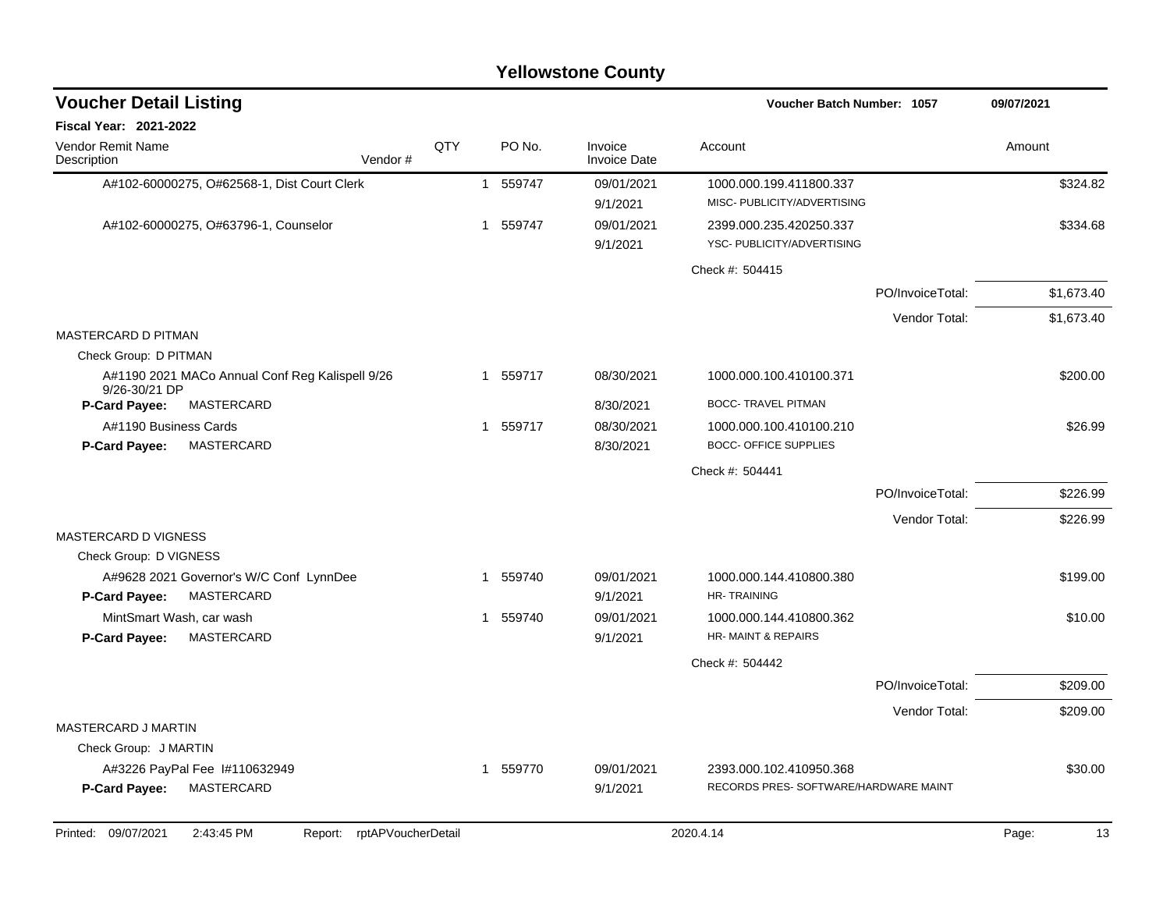|                                  | <b>Voucher Detail Listing</b>                   |                    |  |          |                                | <b>Voucher Batch Number: 1057</b>             |                  | 09/07/2021  |
|----------------------------------|-------------------------------------------------|--------------------|--|----------|--------------------------------|-----------------------------------------------|------------------|-------------|
| Fiscal Year: 2021-2022           |                                                 |                    |  |          |                                |                                               |                  |             |
| Vendor Remit Name<br>Description |                                                 | QTY<br>Vendor#     |  | PO No.   | Invoice<br><b>Invoice Date</b> | Account                                       |                  | Amount      |
|                                  | A#102-60000275, O#62568-1, Dist Court Clerk     |                    |  | 1 559747 | 09/01/2021                     | 1000.000.199.411800.337                       |                  | \$324.82    |
|                                  |                                                 |                    |  |          | 9/1/2021                       | MISC- PUBLICITY/ADVERTISING                   |                  |             |
|                                  | A#102-60000275, O#63796-1, Counselor            |                    |  | 1 559747 | 09/01/2021                     | 2399.000.235.420250.337                       |                  | \$334.68    |
|                                  |                                                 |                    |  |          | 9/1/2021                       | YSC- PUBLICITY/ADVERTISING                    |                  |             |
|                                  |                                                 |                    |  |          |                                | Check #: 504415                               |                  |             |
|                                  |                                                 |                    |  |          |                                |                                               | PO/InvoiceTotal: | \$1,673.40  |
|                                  |                                                 |                    |  |          |                                |                                               | Vendor Total:    | \$1,673.40  |
| <b>MASTERCARD D PITMAN</b>       |                                                 |                    |  |          |                                |                                               |                  |             |
| Check Group: D PITMAN            |                                                 |                    |  |          |                                |                                               |                  |             |
| 9/26-30/21 DP                    | A#1190 2021 MACo Annual Conf Reg Kalispell 9/26 |                    |  | 1 559717 | 08/30/2021                     | 1000.000.100.410100.371                       |                  | \$200.00    |
| <b>P-Card Payee:</b>             | MASTERCARD                                      |                    |  |          | 8/30/2021                      | <b>BOCC- TRAVEL PITMAN</b>                    |                  |             |
| A#1190 Business Cards            |                                                 |                    |  | 1 559717 | 08/30/2021                     | 1000.000.100.410100.210                       |                  | \$26.99     |
| P-Card Payee:                    | <b>MASTERCARD</b>                               |                    |  |          | 8/30/2021                      | <b>BOCC- OFFICE SUPPLIES</b>                  |                  |             |
|                                  |                                                 |                    |  |          |                                | Check #: 504441                               |                  |             |
|                                  |                                                 |                    |  |          |                                |                                               | PO/InvoiceTotal: | \$226.99    |
|                                  |                                                 |                    |  |          |                                |                                               | Vendor Total:    | \$226.99    |
| <b>MASTERCARD D VIGNESS</b>      |                                                 |                    |  |          |                                |                                               |                  |             |
| Check Group: D VIGNESS           |                                                 |                    |  |          |                                |                                               |                  |             |
|                                  | A#9628 2021 Governor's W/C Conf LynnDee         |                    |  | 1 559740 | 09/01/2021                     | 1000.000.144.410800.380                       |                  | \$199.00    |
| <b>P-Card Payee:</b>             | MASTERCARD                                      |                    |  |          | 9/1/2021                       | <b>HR-TRAINING</b>                            |                  |             |
| <b>P-Card Payee:</b>             | MintSmart Wash, car wash<br>MASTERCARD          |                    |  | 1 559740 | 09/01/2021<br>9/1/2021         | 1000.000.144.410800.362<br>HR-MAINT & REPAIRS |                  | \$10.00     |
|                                  |                                                 |                    |  |          |                                | Check #: 504442                               |                  |             |
|                                  |                                                 |                    |  |          |                                |                                               | PO/InvoiceTotal: | \$209.00    |
|                                  |                                                 |                    |  |          |                                |                                               | Vendor Total:    | \$209.00    |
| MASTERCARD J MARTIN              |                                                 |                    |  |          |                                |                                               |                  |             |
| Check Group: J MARTIN            |                                                 |                    |  |          |                                |                                               |                  |             |
|                                  | A#3226 PayPal Fee 1#110632949                   |                    |  | 1 559770 | 09/01/2021                     | 2393.000.102.410950.368                       |                  | \$30.00     |
| <b>P-Card Payee:</b>             | <b>MASTERCARD</b>                               |                    |  |          | 9/1/2021                       | RECORDS PRES- SOFTWARE/HARDWARE MAINT         |                  |             |
|                                  |                                                 |                    |  |          |                                |                                               |                  |             |
| Printed: 09/07/2021              | 2:43:45 PM<br>Report:                           | rptAPVoucherDetail |  |          |                                | 2020.4.14                                     |                  | 13<br>Page: |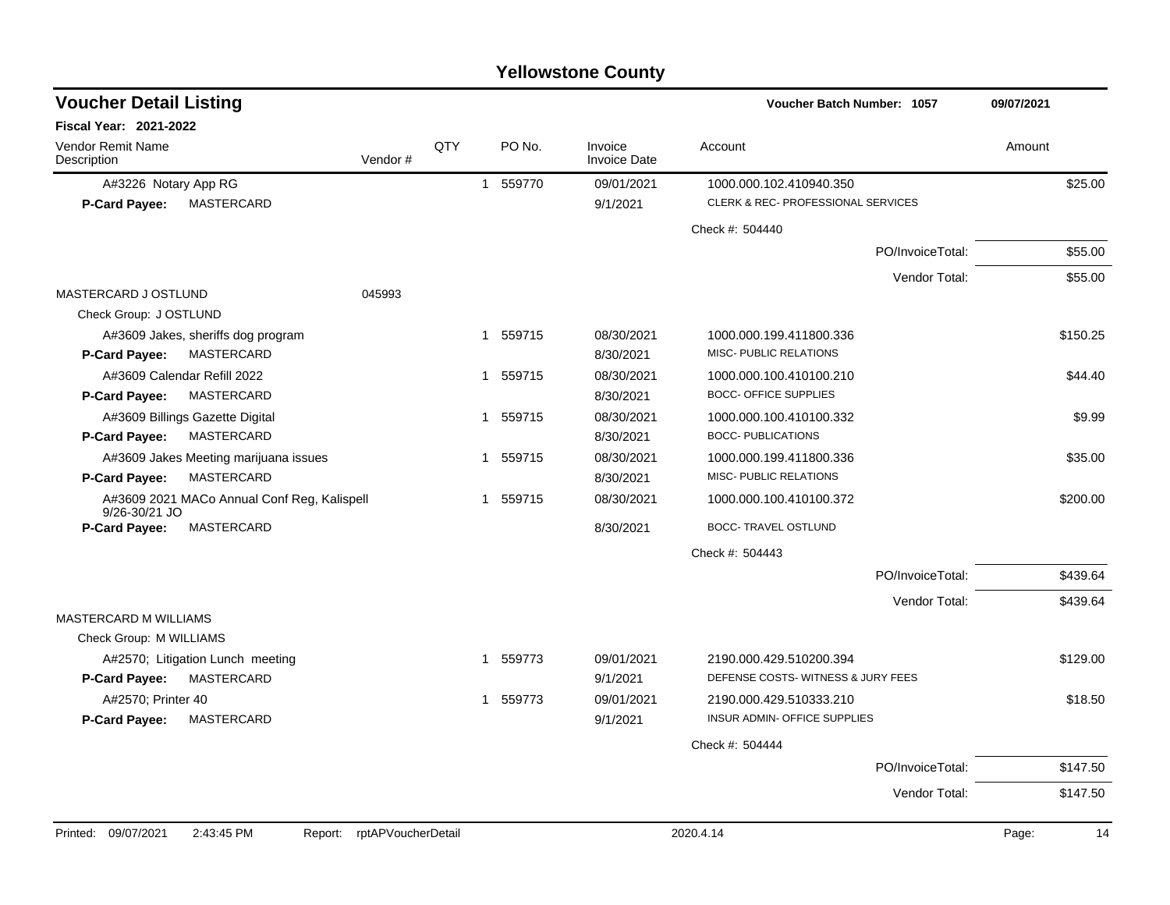#### A#3226 Notary App RG 1 55970 1 559770 09/01/2021 1000.000.102.410940.350 **P-Card Payee:** MASTERCARD 9/1/2021 CLERK & REC- PROFESSIONAL SERVICES Check #: 504440 PO/InvoiceTotal: \$55.00 Vendor Total: \$55.00 MASTERCARD J OSTLUND 045993 Check Group: J OSTLUND A#3609 Jakes, sheriffs dog program  $1\quad 559715$  08/30/2021 1000.000.199.411800.336 \$150.25 **P-Card Payee:** MASTERCARD **8/30/2021** MISC- PUBLIC RELATIONS A#3609 Calendar Refill 2022 2 2 2 2 2 344.40 **P-Card Payee:** MASTERCARD **8/30/2021** BOCC- OFFICE SUPPLIES A#3609 Billings Gazette Digital 1 1 559715 08/30/2021 1000.000.100.410100.332 **P-Card Payee:** MASTERCARD 8/30/2021 BOCC- PUBLICATIONS A#3609 Jakes Meeting marijuana issues 1 1 559715 08/30/2021 1000.000.199.411800.336 535.00 **P-Card Payee:** MASTERCARD 8/30/2021 MISC- PUBLIC RELATIONS A#3609 2021 MACo Annual Conf Reg, Kalispell 9/26-30/21 JO 1 559715 08/30/2021 1000.000.100.410100.372 \$200.00 **P-Card Payee:** MASTERCARD 8/30/2021 BOCC- TRAVEL OSTLUND Check #: 504443 PO/InvoiceTotal: \$439.64 Vendor Total: \$439.64 MASTERCARD M WILLIAMS Check Group: M WILLIAMS A#2570; Litigation Lunch meeting 1 559773 09/01/2021 2190.000.429.510200.394 \$129.00 **P-Card Payee:** MASTERCARD 9/1/2021 DEFENSE COSTS- WITNESS & JURY FEES A#2570; Printer 40 1 559773 1 559773 09/01/2021 2190.000.429.510333.210 518.50 **P-Card Payee:** MASTERCARD 9/1/2021 INSUR ADMIN- OFFICE SUPPLIES Check #: 504444 PO/InvoiceTotal: \$147.50 Vendor Total: \$147.50 **Voucher Batch Number: Yellowstone County** Vendor Remit Name **Description Voucher Detail Listing Fiscal Year: 2021-2022 1057 09/07/2021** PO No. Invoice Account Amount Amount Amount Amount Vendor # QTY Invoice Date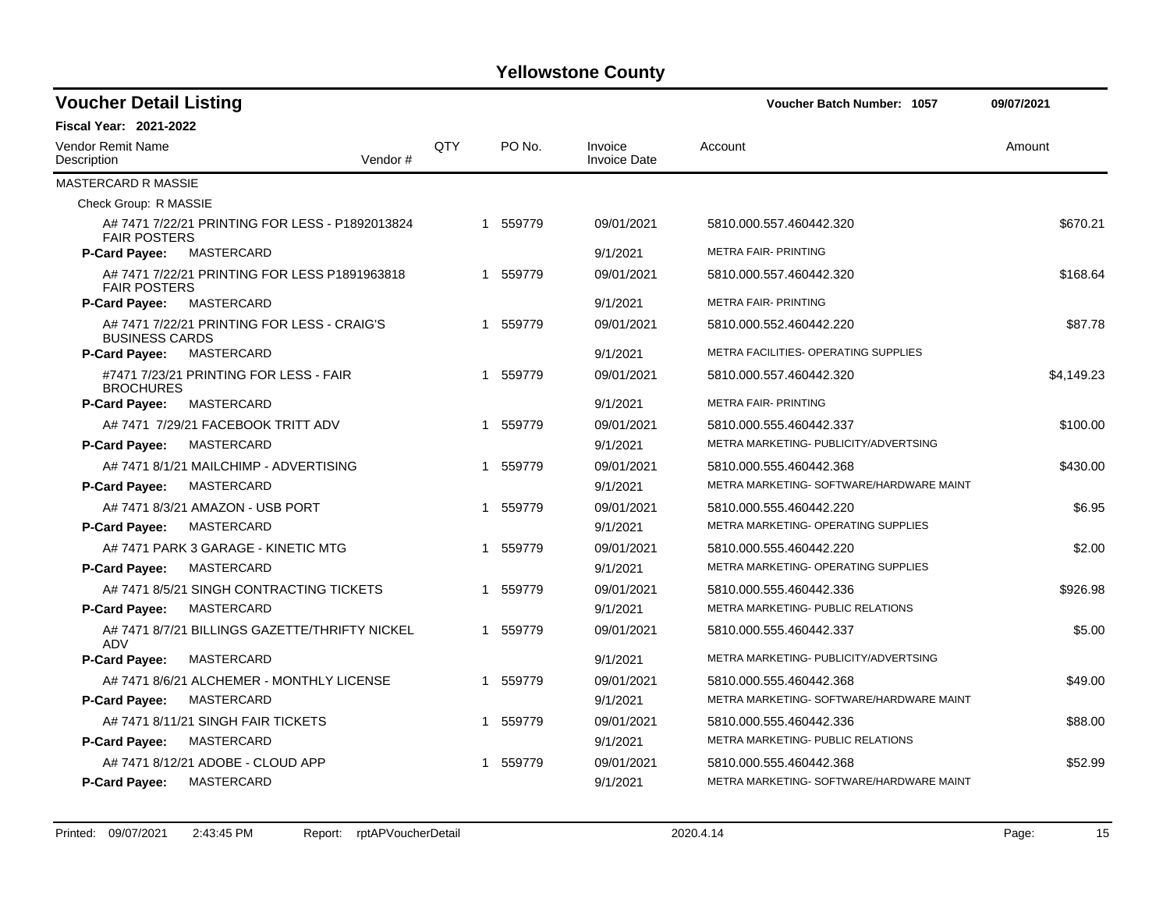| <b>Voucher Detail Listing</b>    |                                                 |     |          |                                | Voucher Batch Number: 1057               | 09/07/2021 |
|----------------------------------|-------------------------------------------------|-----|----------|--------------------------------|------------------------------------------|------------|
| <b>Fiscal Year: 2021-2022</b>    |                                                 |     |          |                                |                                          |            |
| Vendor Remit Name<br>Description | Vendor#                                         | QTY | PO No.   | Invoice<br><b>Invoice Date</b> | Account                                  | Amount     |
| <b>MASTERCARD R MASSIE</b>       |                                                 |     |          |                                |                                          |            |
| Check Group: R MASSIE            |                                                 |     |          |                                |                                          |            |
| <b>FAIR POSTERS</b>              | A# 7471 7/22/21 PRINTING FOR LESS - P1892013824 |     | 1 559779 | 09/01/2021                     | 5810.000.557.460442.320                  | \$670.21   |
| P-Card Payee:                    | MASTERCARD                                      |     |          | 9/1/2021                       | <b>METRA FAIR- PRINTING</b>              |            |
| <b>FAIR POSTERS</b>              | A# 7471 7/22/21 PRINTING FOR LESS P1891963818   |     | 1 559779 | 09/01/2021                     | 5810.000.557.460442.320                  | \$168.64   |
| P-Card Payee:                    | MASTERCARD                                      |     |          | 9/1/2021                       | <b>METRA FAIR- PRINTING</b>              |            |
| <b>BUSINESS CARDS</b>            | A# 7471 7/22/21 PRINTING FOR LESS - CRAIG'S     |     | 1 559779 | 09/01/2021                     | 5810.000.552.460442.220                  | \$87.78    |
| <b>P-Card Payee:</b>             | MASTERCARD                                      |     |          | 9/1/2021                       | METRA FACILITIES- OPERATING SUPPLIES     |            |
| <b>BROCHURES</b>                 | #7471 7/23/21 PRINTING FOR LESS - FAIR          |     | 1 559779 | 09/01/2021                     | 5810.000.557.460442.320                  | \$4,149.23 |
| P-Card Payee:                    | MASTERCARD                                      |     |          | 9/1/2021                       | <b>METRA FAIR- PRINTING</b>              |            |
|                                  | A# 7471 7/29/21 FACEBOOK TRITT ADV              |     | 1 559779 | 09/01/2021                     | 5810.000.555.460442.337                  | \$100.00   |
| P-Card Payee:                    | MASTERCARD                                      |     |          | 9/1/2021                       | METRA MARKETING- PUBLICITY/ADVERTSING    |            |
|                                  | A# 7471 8/1/21 MAILCHIMP - ADVERTISING          |     | 1 559779 | 09/01/2021                     | 5810.000.555.460442.368                  | \$430.00   |
| P-Card Payee:                    | MASTERCARD                                      |     |          | 9/1/2021                       | METRA MARKETING- SOFTWARE/HARDWARE MAINT |            |
|                                  | A# 7471 8/3/21 AMAZON - USB PORT                |     | 1 559779 | 09/01/2021                     | 5810.000.555.460442.220                  | \$6.95     |
| P-Card Payee:                    | <b>MASTERCARD</b>                               |     |          | 9/1/2021                       | METRA MARKETING- OPERATING SUPPLIES      |            |
|                                  | A# 7471 PARK 3 GARAGE - KINETIC MTG             |     | 1 559779 | 09/01/2021                     | 5810.000.555.460442.220                  | \$2.00     |
| <b>P-Card Payee:</b>             | MASTERCARD                                      |     |          | 9/1/2021                       | METRA MARKETING- OPERATING SUPPLIES      |            |
|                                  | A# 7471 8/5/21 SINGH CONTRACTING TICKETS        |     | 1 559779 | 09/01/2021                     | 5810.000.555.460442.336                  | \$926.98   |
| P-Card Payee:                    | MASTERCARD                                      |     |          | 9/1/2021                       | METRA MARKETING- PUBLIC RELATIONS        |            |
| <b>ADV</b>                       | A# 7471 8/7/21 BILLINGS GAZETTE/THRIFTY NICKEL  |     | 1 559779 | 09/01/2021                     | 5810.000.555.460442.337                  | \$5.00     |
| <b>P-Card Payee:</b>             | MASTERCARD                                      |     |          | 9/1/2021                       | METRA MARKETING- PUBLICITY/ADVERTSING    |            |
|                                  | A# 7471 8/6/21 ALCHEMER - MONTHLY LICENSE       |     | 1 559779 | 09/01/2021                     | 5810.000.555.460442.368                  | \$49.00    |
| P-Card Payee:                    | MASTERCARD                                      |     |          | 9/1/2021                       | METRA MARKETING- SOFTWARE/HARDWARE MAINT |            |
|                                  | A# 7471 8/11/21 SINGH FAIR TICKETS              |     | 1 559779 | 09/01/2021                     | 5810.000.555.460442.336                  | \$88.00    |
| P-Card Payee:                    | MASTERCARD                                      |     |          | 9/1/2021                       | METRA MARKETING- PUBLIC RELATIONS        |            |
|                                  | A# 7471 8/12/21 ADOBE - CLOUD APP               |     | 1 559779 | 09/01/2021                     | 5810.000.555.460442.368                  | \$52.99    |
| <b>P-Card Payee:</b>             | <b>MASTERCARD</b>                               |     |          | 9/1/2021                       | METRA MARKETING- SOFTWARE/HARDWARE MAINT |            |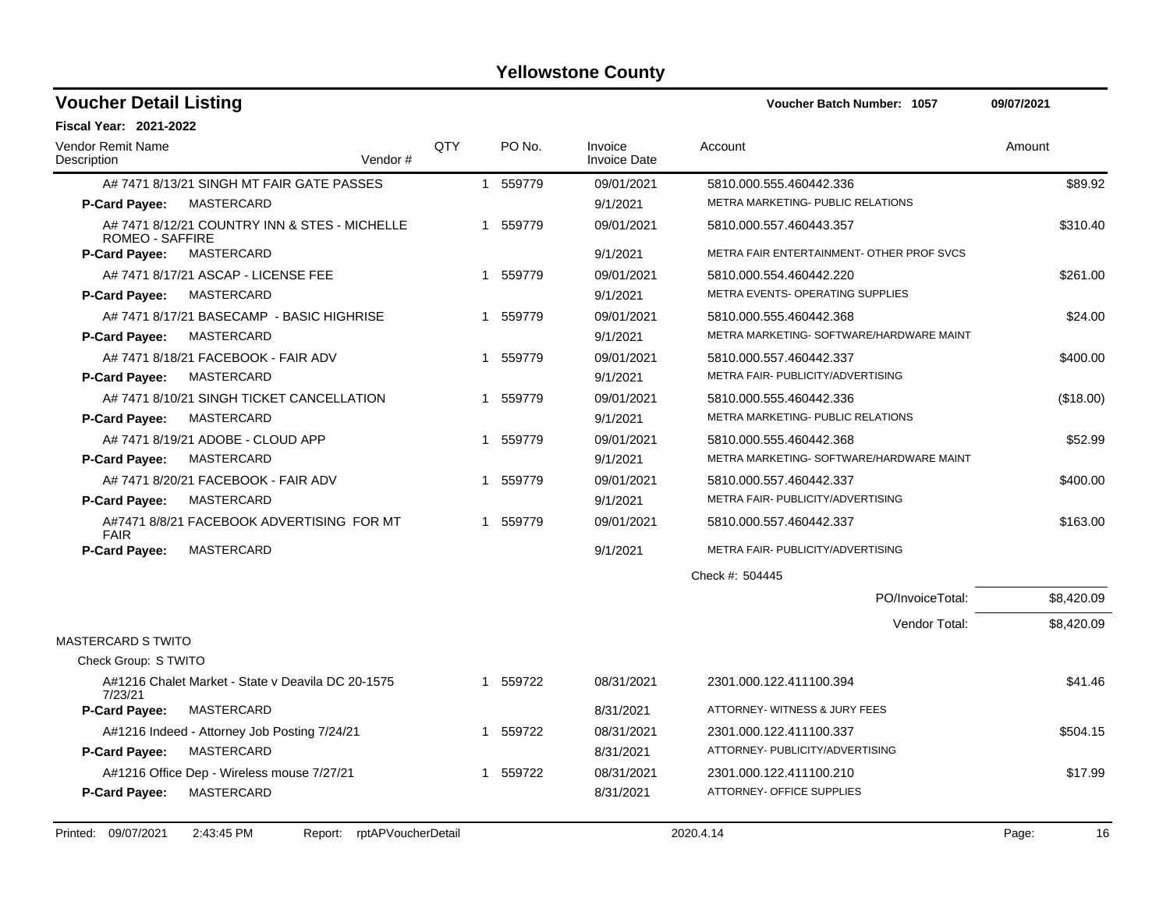| <b>Voucher Detail Listing</b>           |                                                   |     |                        |                                | Voucher Batch Number: 1057                | 09/07/2021 |
|-----------------------------------------|---------------------------------------------------|-----|------------------------|--------------------------------|-------------------------------------------|------------|
| <b>Fiscal Year: 2021-2022</b>           |                                                   |     |                        |                                |                                           |            |
| <b>Vendor Remit Name</b><br>Description | Vendor#                                           | QTY | PO No.                 | Invoice<br><b>Invoice Date</b> | Account                                   | Amount     |
|                                         | A# 7471 8/13/21 SINGH MT FAIR GATE PASSES         |     | 1 559779               | 09/01/2021                     | 5810.000.555.460442.336                   | \$89.92    |
| <b>P-Card Payee:</b>                    | MASTERCARD                                        |     |                        | 9/1/2021                       | METRA MARKETING- PUBLIC RELATIONS         |            |
| <b>ROMEO - SAFFIRE</b>                  | A# 7471 8/12/21 COUNTRY INN & STES - MICHELLE     |     | 559779<br>$\mathbf{1}$ | 09/01/2021                     | 5810.000.557.460443.357                   | \$310.40   |
| P-Card Payee:                           | MASTERCARD                                        |     |                        | 9/1/2021                       | METRA FAIR ENTERTAINMENT- OTHER PROF SVCS |            |
| A# 7471 8/17/21 ASCAP - LICENSE FEE     |                                                   |     | 1 559779               | 09/01/2021                     | 5810.000.554.460442.220                   | \$261.00   |
| P-Card Payee:                           | MASTERCARD                                        |     |                        | 9/1/2021                       | METRA EVENTS- OPERATING SUPPLIES          |            |
|                                         | A# 7471 8/17/21 BASECAMP - BASIC HIGHRISE         | 1   | 559779                 | 09/01/2021                     | 5810.000.555.460442.368                   | \$24.00    |
| <b>P-Card Payee:</b>                    | MASTERCARD                                        |     |                        | 9/1/2021                       | METRA MARKETING- SOFTWARE/HARDWARE MAINT  |            |
| A# 7471 8/18/21 FACEBOOK - FAIR ADV     |                                                   |     | 1 559779               | 09/01/2021                     | 5810.000.557.460442.337                   | \$400.00   |
| <b>P-Card Payee:</b>                    | MASTERCARD                                        |     |                        | 9/1/2021                       | METRA FAIR- PUBLICITY/ADVERTISING         |            |
|                                         | A# 7471 8/10/21 SINGH TICKET CANCELLATION         |     | 1 559779               | 09/01/2021                     | 5810.000.555.460442.336                   | (\$18.00)  |
| <b>P-Card Payee:</b>                    | MASTERCARD                                        |     |                        | 9/1/2021                       | METRA MARKETING- PUBLIC RELATIONS         |            |
| A# 7471 8/19/21 ADOBE - CLOUD APP       |                                                   |     | 1 559779               | 09/01/2021                     | 5810.000.555.460442.368                   | \$52.99    |
| P-Card Payee:                           | MASTERCARD                                        |     |                        | 9/1/2021                       | METRA MARKETING- SOFTWARE/HARDWARE MAINT  |            |
| A# 7471 8/20/21 FACEBOOK - FAIR ADV     |                                                   | 1   | 559779                 | 09/01/2021                     | 5810.000.557.460442.337                   | \$400.00   |
| <b>P-Card Payee:</b>                    | MASTERCARD                                        |     |                        | 9/1/2021                       | METRA FAIR- PUBLICITY/ADVERTISING         |            |
| <b>FAIR</b>                             | A#7471 8/8/21 FACEBOOK ADVERTISING FOR MT         |     | 559779                 | 09/01/2021                     | 5810.000.557.460442.337                   | \$163.00   |
| P-Card Payee:                           | <b>MASTERCARD</b>                                 |     |                        | 9/1/2021                       | METRA FAIR- PUBLICITY/ADVERTISING         |            |
|                                         |                                                   |     |                        |                                | Check #: 504445                           |            |
|                                         |                                                   |     |                        |                                | PO/InvoiceTotal:                          | \$8,420.09 |
| <b>MASTERCARD S TWITO</b>               |                                                   |     |                        |                                | Vendor Total:                             | \$8,420.09 |
| Check Group: S TWITO                    |                                                   |     |                        |                                |                                           |            |
|                                         | A#1216 Chalet Market - State v Deavila DC 20-1575 |     | 1 559722               | 08/31/2021                     | 2301.000.122.411100.394                   | \$41.46    |
| 7/23/21                                 |                                                   |     |                        |                                |                                           |            |
| <b>P-Card Payee:</b>                    | MASTERCARD                                        |     |                        | 8/31/2021                      | ATTORNEY- WITNESS & JURY FEES             |            |
|                                         | A#1216 Indeed - Attorney Job Posting 7/24/21      |     | 1 559722               | 08/31/2021                     | 2301.000.122.411100.337                   | \$504.15   |
| P-Card Payee:                           | <b>MASTERCARD</b>                                 |     |                        | 8/31/2021                      | ATTORNEY- PUBLICITY/ADVERTISING           |            |
|                                         | A#1216 Office Dep - Wireless mouse 7/27/21        |     | 1 559722               | 08/31/2021                     | 2301.000.122.411100.210                   | \$17.99    |
| P-Card Payee:                           | <b>MASTERCARD</b>                                 |     |                        | 8/31/2021                      | ATTORNEY- OFFICE SUPPLIES                 |            |
|                                         |                                                   |     |                        |                                |                                           |            |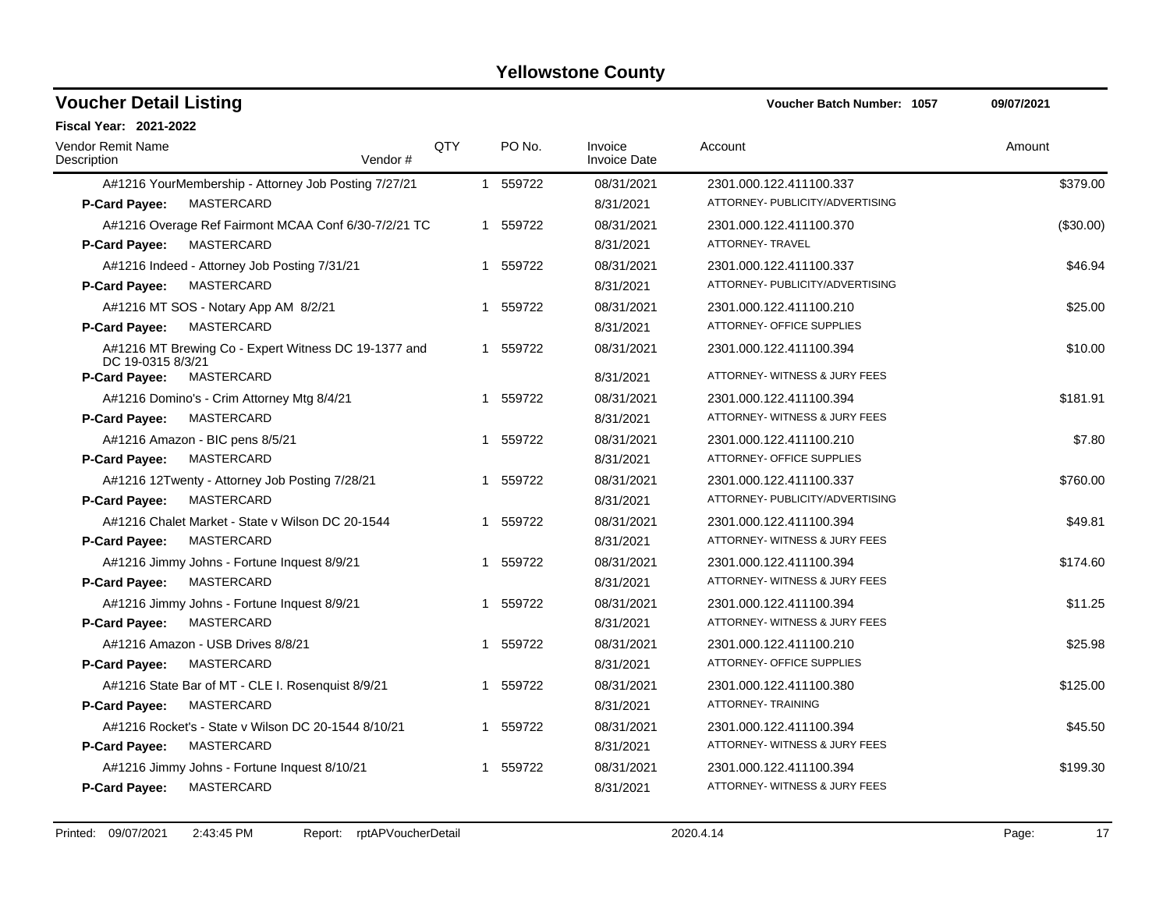| <b>Voucher Detail Listing</b>                                             |                       |              |          |                                | <b>Voucher Batch Number: 1057</b> | 09/07/2021 |
|---------------------------------------------------------------------------|-----------------------|--------------|----------|--------------------------------|-----------------------------------|------------|
| <b>Fiscal Year: 2021-2022</b>                                             |                       |              |          |                                |                                   |            |
| Vendor Remit Name<br>Description                                          | <b>QTY</b><br>Vendor# |              | PO No.   | Invoice<br><b>Invoice Date</b> | Account                           | Amount     |
| A#1216 YourMembership - Attorney Job Posting 7/27/21                      |                       |              | 1 559722 | 08/31/2021                     | 2301.000.122.411100.337           | \$379.00   |
| MASTERCARD<br>P-Card Payee:                                               |                       |              |          | 8/31/2021                      | ATTORNEY- PUBLICITY/ADVERTISING   |            |
| A#1216 Overage Ref Fairmont MCAA Conf 6/30-7/2/21 TC                      |                       |              | 1 559722 | 08/31/2021                     | 2301.000.122.411100.370           | (\$30.00)  |
| <b>MASTERCARD</b><br><b>P-Card Payee:</b>                                 |                       |              |          | 8/31/2021                      | ATTORNEY- TRAVEL                  |            |
| A#1216 Indeed - Attorney Job Posting 7/31/21                              |                       |              | 1 559722 | 08/31/2021                     | 2301.000.122.411100.337           | \$46.94    |
| MASTERCARD<br><b>P-Card Payee:</b>                                        |                       |              |          | 8/31/2021                      | ATTORNEY- PUBLICITY/ADVERTISING   |            |
| A#1216 MT SOS - Notary App AM 8/2/21                                      |                       |              | 1 559722 | 08/31/2021                     | 2301.000.122.411100.210           | \$25.00    |
| <b>MASTERCARD</b><br>P-Card Payee:                                        |                       |              |          | 8/31/2021                      | ATTORNEY- OFFICE SUPPLIES         |            |
| A#1216 MT Brewing Co - Expert Witness DC 19-1377 and<br>DC 19-0315 8/3/21 |                       |              | 1 559722 | 08/31/2021                     | 2301.000.122.411100.394           | \$10.00    |
| MASTERCARD<br>P-Card Payee:                                               |                       |              |          | 8/31/2021                      | ATTORNEY- WITNESS & JURY FEES     |            |
| A#1216 Domino's - Crim Attorney Mtg 8/4/21                                |                       |              | 1 559722 | 08/31/2021                     | 2301.000.122.411100.394           | \$181.91   |
| <b>P-Card Payee:</b><br>MASTERCARD                                        |                       |              |          | 8/31/2021                      | ATTORNEY- WITNESS & JURY FEES     |            |
| A#1216 Amazon - BIC pens 8/5/21                                           |                       | 1            | 559722   | 08/31/2021                     | 2301.000.122.411100.210           | \$7.80     |
| P-Card Payee:<br>MASTERCARD                                               |                       |              |          | 8/31/2021                      | ATTORNEY- OFFICE SUPPLIES         |            |
| A#1216 12Twenty - Attorney Job Posting 7/28/21                            |                       |              | 1 559722 | 08/31/2021                     | 2301.000.122.411100.337           | \$760.00   |
| P-Card Payee:<br><b>MASTERCARD</b>                                        |                       |              |          | 8/31/2021                      | ATTORNEY- PUBLICITY/ADVERTISING   |            |
| A#1216 Chalet Market - State v Wilson DC 20-1544                          |                       | $\mathbf{1}$ | 559722   | 08/31/2021                     | 2301.000.122.411100.394           | \$49.81    |
| P-Card Payee:<br>MASTERCARD                                               |                       |              |          | 8/31/2021                      | ATTORNEY- WITNESS & JURY FEES     |            |
| A#1216 Jimmy Johns - Fortune Inquest 8/9/21                               |                       | $\mathbf 1$  | 559722   | 08/31/2021                     | 2301.000.122.411100.394           | \$174.60   |
| P-Card Payee:<br><b>MASTERCARD</b>                                        |                       |              |          | 8/31/2021                      | ATTORNEY- WITNESS & JURY FEES     |            |
| A#1216 Jimmy Johns - Fortune Inquest 8/9/21                               |                       |              | 1 559722 | 08/31/2021                     | 2301.000.122.411100.394           | \$11.25    |
| P-Card Payee:<br><b>MASTERCARD</b>                                        |                       |              |          | 8/31/2021                      | ATTORNEY- WITNESS & JURY FEES     |            |
| A#1216 Amazon - USB Drives 8/8/21                                         |                       |              | 1 559722 | 08/31/2021                     | 2301.000.122.411100.210           | \$25.98    |
| P-Card Payee:<br><b>MASTERCARD</b>                                        |                       |              |          | 8/31/2021                      | ATTORNEY- OFFICE SUPPLIES         |            |
| A#1216 State Bar of MT - CLE I. Rosenquist 8/9/21                         |                       |              | 1 559722 | 08/31/2021                     | 2301.000.122.411100.380           | \$125.00   |
| P-Card Payee:<br>MASTERCARD                                               |                       |              |          | 8/31/2021                      | <b>ATTORNEY- TRAINING</b>         |            |
| A#1216 Rocket's - State v Wilson DC 20-1544 8/10/21                       |                       |              | 1 559722 | 08/31/2021                     | 2301.000.122.411100.394           | \$45.50    |
| P-Card Payee:<br><b>MASTERCARD</b>                                        |                       |              |          | 8/31/2021                      | ATTORNEY- WITNESS & JURY FEES     |            |
| A#1216 Jimmy Johns - Fortune Inquest 8/10/21                              |                       | -1           | 559722   | 08/31/2021                     | 2301.000.122.411100.394           | \$199.30   |
| <b>MASTERCARD</b><br><b>P-Card Payee:</b>                                 |                       |              |          | 8/31/2021                      | ATTORNEY- WITNESS & JURY FEES     |            |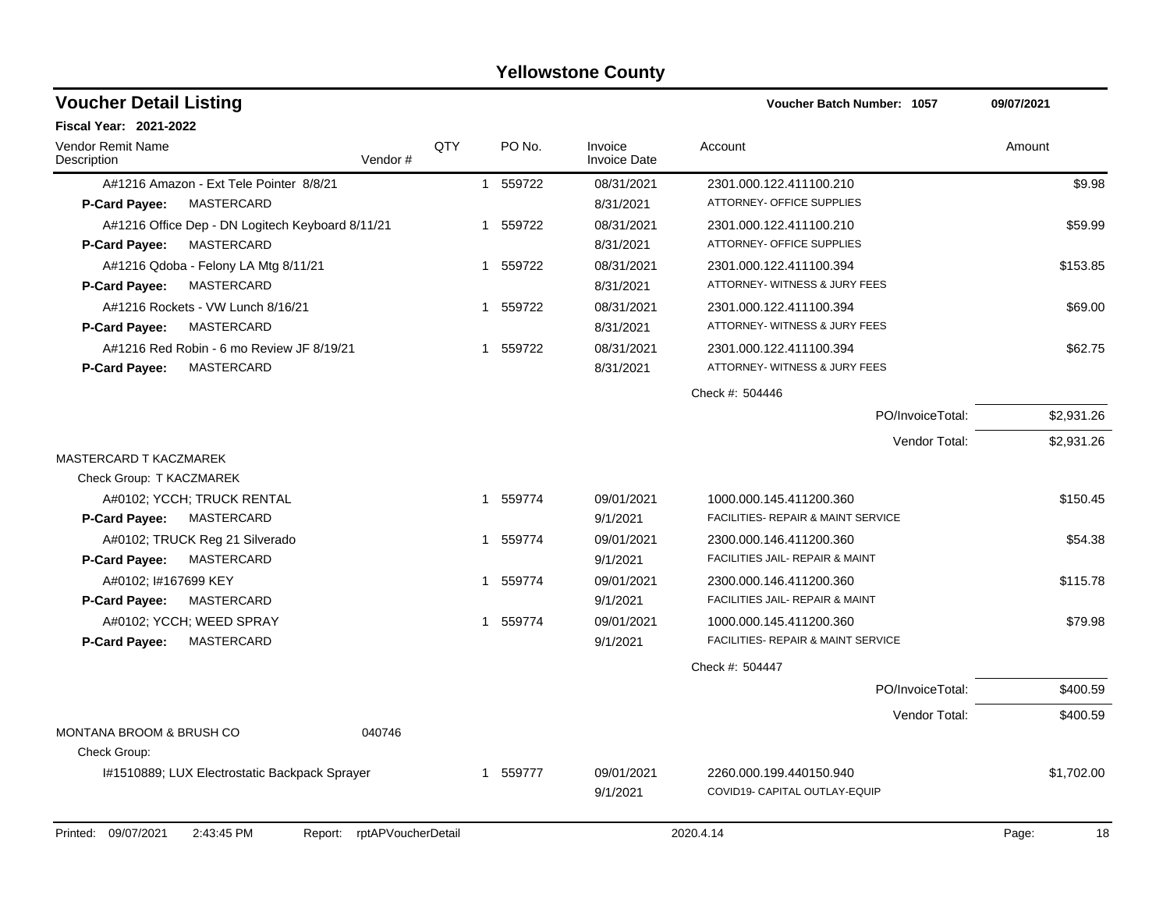| <b>Voucher Detail Listing</b>                       |                                                  |         |     |                        |                                | <b>Voucher Batch Number: 1057</b>                        | 09/07/2021 |
|-----------------------------------------------------|--------------------------------------------------|---------|-----|------------------------|--------------------------------|----------------------------------------------------------|------------|
| <b>Fiscal Year: 2021-2022</b>                       |                                                  |         |     |                        |                                |                                                          |            |
| <b>Vendor Remit Name</b><br>Description             |                                                  | Vendor# | QTY | PO No.                 | Invoice<br><b>Invoice Date</b> | Account                                                  | Amount     |
|                                                     | A#1216 Amazon - Ext Tele Pointer 8/8/21          |         |     | 559722<br>$\mathbf{1}$ | 08/31/2021                     | 2301.000.122.411100.210                                  | \$9.98     |
| P-Card Payee:                                       | MASTERCARD                                       |         |     |                        | 8/31/2021                      | ATTORNEY- OFFICE SUPPLIES                                |            |
|                                                     | A#1216 Office Dep - DN Logitech Keyboard 8/11/21 |         |     | 1 559722               | 08/31/2021                     | 2301.000.122.411100.210                                  | \$59.99    |
| <b>P-Card Payee:</b>                                | MASTERCARD                                       |         |     |                        | 8/31/2021                      | ATTORNEY- OFFICE SUPPLIES                                |            |
|                                                     | A#1216 Qdoba - Felony LA Mtg 8/11/21             |         |     | 1 559722               | 08/31/2021                     | 2301.000.122.411100.394                                  | \$153.85   |
| P-Card Payee:                                       | MASTERCARD                                       |         |     |                        | 8/31/2021                      | ATTORNEY- WITNESS & JURY FEES                            |            |
| A#1216 Rockets - VW Lunch 8/16/21                   |                                                  |         |     | 1 559722               | 08/31/2021                     | 2301.000.122.411100.394                                  | \$69.00    |
| P-Card Payee:                                       | MASTERCARD                                       |         |     |                        | 8/31/2021                      | ATTORNEY- WITNESS & JURY FEES                            |            |
|                                                     | A#1216 Red Robin - 6 mo Review JF 8/19/21        |         |     | 1 559722               | 08/31/2021                     | 2301.000.122.411100.394                                  | \$62.75    |
| <b>P-Card Payee:</b>                                | <b>MASTERCARD</b>                                |         |     |                        | 8/31/2021                      | ATTORNEY- WITNESS & JURY FEES                            |            |
|                                                     |                                                  |         |     |                        |                                | Check #: 504446                                          |            |
|                                                     |                                                  |         |     |                        |                                | PO/InvoiceTotal:                                         | \$2,931.26 |
|                                                     |                                                  |         |     |                        |                                | Vendor Total:                                            | \$2,931.26 |
| MASTERCARD T KACZMAREK                              |                                                  |         |     |                        |                                |                                                          |            |
| Check Group: T KACZMAREK                            |                                                  |         |     |                        |                                |                                                          |            |
| A#0102; YCCH; TRUCK RENTAL                          |                                                  |         |     | 1 559774               | 09/01/2021                     | 1000.000.145.411200.360                                  | \$150.45   |
| P-Card Payee:                                       | MASTERCARD                                       |         |     |                        | 9/1/2021                       | FACILITIES- REPAIR & MAINT SERVICE                       |            |
| A#0102; TRUCK Reg 21 Silverado                      |                                                  |         |     | 1 559774               | 09/01/2021                     | 2300.000.146.411200.360                                  | \$54.38    |
| P-Card Payee:                                       | MASTERCARD                                       |         |     |                        | 9/1/2021                       | FACILITIES JAIL- REPAIR & MAINT                          |            |
| A#0102; I#167699 KEY                                |                                                  |         |     | 1 559774               | 09/01/2021                     | 2300.000.146.411200.360                                  | \$115.78   |
| P-Card Payee:                                       | MASTERCARD                                       |         |     |                        | 9/1/2021                       | FACILITIES JAIL- REPAIR & MAINT                          |            |
| A#0102; YCCH; WEED SPRAY                            |                                                  |         |     | 1 559774               | 09/01/2021                     | 1000.000.145.411200.360                                  | \$79.98    |
| P-Card Payee:                                       | <b>MASTERCARD</b>                                |         |     |                        | 9/1/2021                       | FACILITIES- REPAIR & MAINT SERVICE                       |            |
|                                                     |                                                  |         |     |                        |                                | Check #: 504447                                          |            |
|                                                     |                                                  |         |     |                        |                                | PO/InvoiceTotal:                                         | \$400.59   |
|                                                     |                                                  |         |     |                        |                                | Vendor Total:                                            | \$400.59   |
| <b>MONTANA BROOM &amp; BRUSH CO</b><br>Check Group: |                                                  | 040746  |     |                        |                                |                                                          |            |
|                                                     | 1#1510889; LUX Electrostatic Backpack Sprayer    |         |     | 559777<br>$\mathbf 1$  | 09/01/2021<br>9/1/2021         | 2260.000.199.440150.940<br>COVID19- CAPITAL OUTLAY-EQUIP | \$1,702.00 |
|                                                     |                                                  |         |     |                        |                                |                                                          |            |

Printed: 09/07/2021 2:43:45 PM Report: rptAPVoucherDetail 2020.4.14 2020.4.14 Page: 18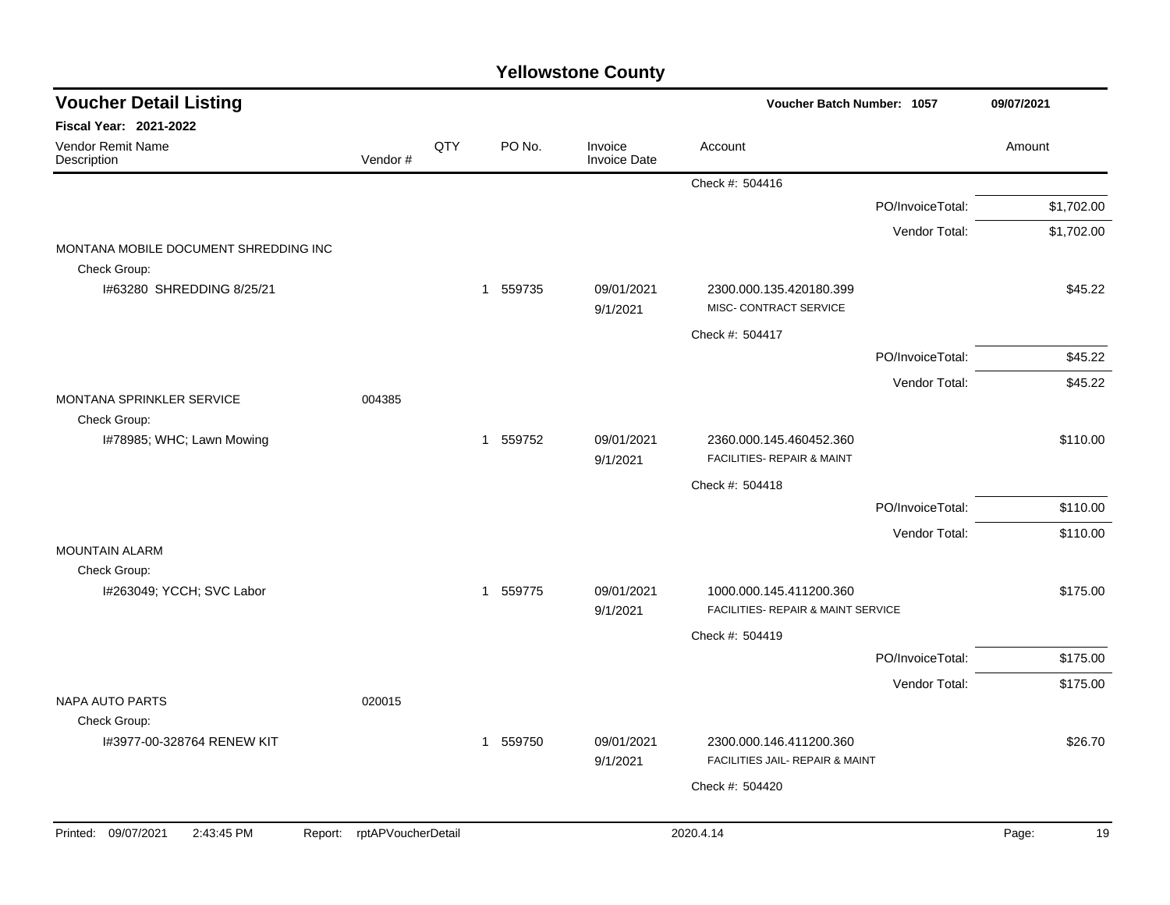| <b>Voucher Detail Listing</b>                         |                            |     |          |                                | Voucher Batch Number: 1057                                    |                  | 09/07/2021 |    |
|-------------------------------------------------------|----------------------------|-----|----------|--------------------------------|---------------------------------------------------------------|------------------|------------|----|
| Fiscal Year: 2021-2022                                |                            |     |          |                                |                                                               |                  |            |    |
| Vendor Remit Name<br>Description                      | Vendor#                    | QTY | PO No.   | Invoice<br><b>Invoice Date</b> | Account                                                       |                  | Amount     |    |
|                                                       |                            |     |          |                                | Check #: 504416                                               |                  |            |    |
|                                                       |                            |     |          |                                |                                                               | PO/InvoiceTotal: | \$1,702.00 |    |
|                                                       |                            |     |          |                                |                                                               | Vendor Total:    | \$1,702.00 |    |
| MONTANA MOBILE DOCUMENT SHREDDING INC<br>Check Group: |                            |     |          |                                |                                                               |                  |            |    |
| I#63280 SHREDDING 8/25/21                             |                            |     | 1 559735 | 09/01/2021<br>9/1/2021         | 2300.000.135.420180.399<br>MISC- CONTRACT SERVICE             |                  | \$45.22    |    |
|                                                       |                            |     |          |                                | Check #: 504417                                               |                  |            |    |
|                                                       |                            |     |          |                                |                                                               | PO/InvoiceTotal: | \$45.22    |    |
|                                                       |                            |     |          |                                |                                                               | Vendor Total:    | \$45.22    |    |
| MONTANA SPRINKLER SERVICE<br>Check Group:             | 004385                     |     |          |                                |                                                               |                  |            |    |
| I#78985; WHC; Lawn Mowing                             |                            |     | 1 559752 | 09/01/2021<br>9/1/2021         | 2360.000.145.460452.360<br>FACILITIES- REPAIR & MAINT         |                  | \$110.00   |    |
|                                                       |                            |     |          |                                | Check #: 504418                                               |                  |            |    |
|                                                       |                            |     |          |                                |                                                               | PO/InvoiceTotal: | \$110.00   |    |
|                                                       |                            |     |          |                                |                                                               | Vendor Total:    | \$110.00   |    |
| <b>MOUNTAIN ALARM</b>                                 |                            |     |          |                                |                                                               |                  |            |    |
| Check Group:                                          |                            |     |          |                                |                                                               |                  |            |    |
| I#263049; YCCH; SVC Labor                             |                            |     | 1 559775 | 09/01/2021<br>9/1/2021         | 1000.000.145.411200.360<br>FACILITIES- REPAIR & MAINT SERVICE |                  | \$175.00   |    |
|                                                       |                            |     |          |                                | Check #: 504419                                               |                  |            |    |
|                                                       |                            |     |          |                                |                                                               | PO/InvoiceTotal: | \$175.00   |    |
|                                                       |                            |     |          |                                |                                                               | Vendor Total:    | \$175.00   |    |
| <b>NAPA AUTO PARTS</b>                                | 020015                     |     |          |                                |                                                               |                  |            |    |
| Check Group:                                          |                            |     |          |                                |                                                               |                  |            |    |
| I#3977-00-328764 RENEW KIT                            |                            |     | 1 559750 | 09/01/2021<br>9/1/2021         | 2300.000.146.411200.360<br>FACILITIES JAIL- REPAIR & MAINT    |                  | \$26.70    |    |
|                                                       |                            |     |          |                                | Check #: 504420                                               |                  |            |    |
|                                                       |                            |     |          |                                |                                                               |                  |            |    |
| Printed: 09/07/2021<br>2:43:45 PM                     | Report: rptAPVoucherDetail |     |          |                                | 2020.4.14                                                     |                  | Page:      | 19 |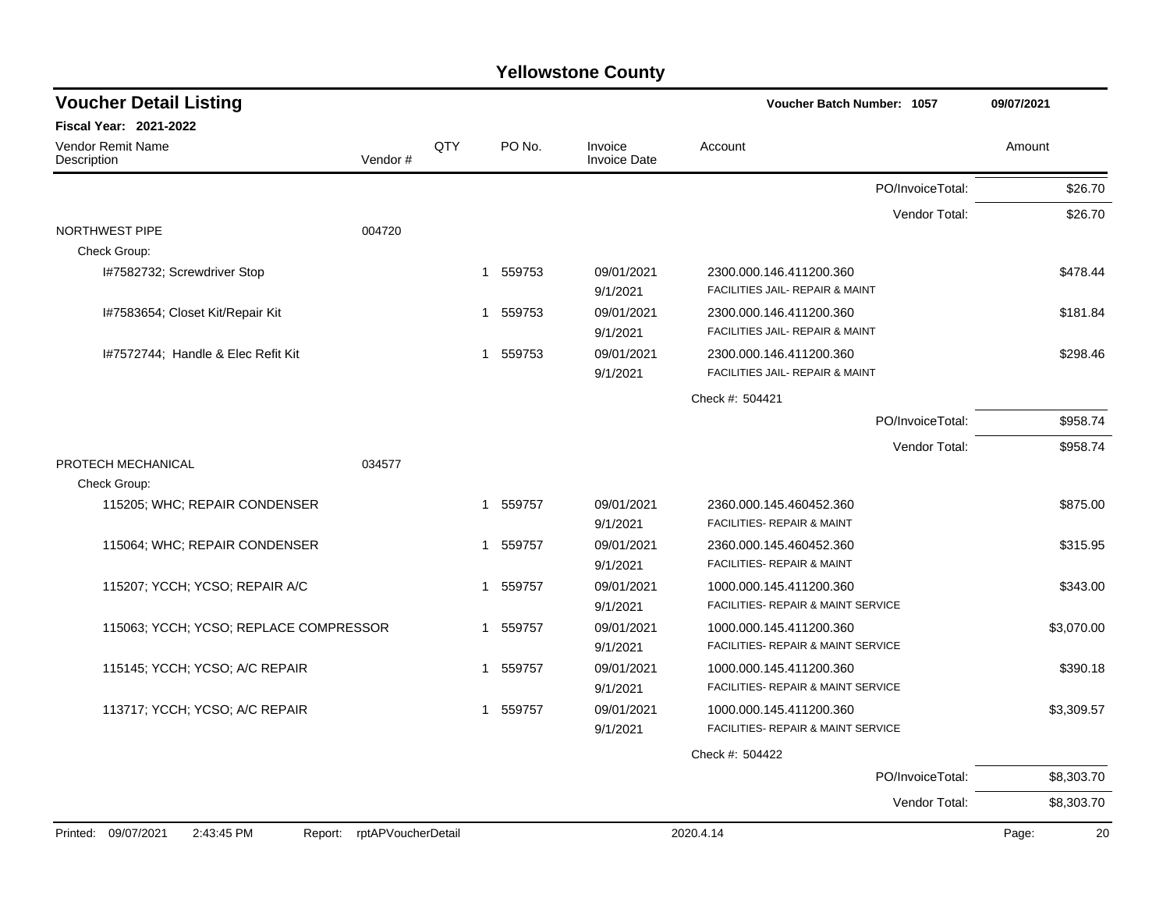| <b>Voucher Detail Listing</b>                |                    |     |                        |                                | <b>Voucher Batch Number: 1057</b>                             | 09/07/2021  |
|----------------------------------------------|--------------------|-----|------------------------|--------------------------------|---------------------------------------------------------------|-------------|
| <b>Fiscal Year: 2021-2022</b>                |                    |     |                        |                                |                                                               |             |
| <b>Vendor Remit Name</b><br>Description      | Vendor#            | QTY | PO No.                 | Invoice<br><b>Invoice Date</b> | Account                                                       | Amount      |
|                                              |                    |     |                        |                                | PO/InvoiceTotal:                                              | \$26.70     |
|                                              |                    |     |                        |                                | Vendor Total:                                                 | \$26.70     |
| NORTHWEST PIPE                               | 004720             |     |                        |                                |                                                               |             |
| Check Group:                                 |                    |     |                        |                                |                                                               |             |
| I#7582732; Screwdriver Stop                  |                    |     | 559753<br>$\mathbf{1}$ | 09/01/2021<br>9/1/2021         | 2300.000.146.411200.360<br>FACILITIES JAIL- REPAIR & MAINT    | \$478.44    |
| I#7583654; Closet Kit/Repair Kit             |                    |     | 559753<br>1            | 09/01/2021<br>9/1/2021         | 2300.000.146.411200.360<br>FACILITIES JAIL- REPAIR & MAINT    | \$181.84    |
| I#7572744; Handle & Elec Refit Kit           |                    |     | 1 559753               | 09/01/2021<br>9/1/2021         | 2300.000.146.411200.360<br>FACILITIES JAIL- REPAIR & MAINT    | \$298.46    |
|                                              |                    |     |                        |                                | Check #: 504421                                               |             |
|                                              |                    |     |                        |                                | PO/InvoiceTotal:                                              | \$958.74    |
|                                              |                    |     |                        |                                | Vendor Total:                                                 | \$958.74    |
| PROTECH MECHANICAL                           | 034577             |     |                        |                                |                                                               |             |
| Check Group:                                 |                    |     |                        |                                |                                                               |             |
| 115205; WHC; REPAIR CONDENSER                |                    |     | 1 559757               | 09/01/2021<br>9/1/2021         | 2360.000.145.460452.360<br>FACILITIES- REPAIR & MAINT         | \$875.00    |
| 115064; WHC; REPAIR CONDENSER                |                    |     | 1 559757               | 09/01/2021<br>9/1/2021         | 2360.000.145.460452.360<br>FACILITIES- REPAIR & MAINT         | \$315.95    |
| 115207; YCCH; YCSO; REPAIR A/C               |                    |     | 1 559757               | 09/01/2021<br>9/1/2021         | 1000.000.145.411200.360<br>FACILITIES- REPAIR & MAINT SERVICE | \$343.00    |
| 115063; YCCH; YCSO; REPLACE COMPRESSOR       |                    |     | 1 559757               | 09/01/2021<br>9/1/2021         | 1000.000.145.411200.360<br>FACILITIES- REPAIR & MAINT SERVICE | \$3,070.00  |
| 115145; YCCH; YCSO; A/C REPAIR               |                    |     | 559757<br>$\mathbf{1}$ | 09/01/2021<br>9/1/2021         | 1000.000.145.411200.360<br>FACILITIES- REPAIR & MAINT SERVICE | \$390.18    |
| 113717; YCCH; YCSO; A/C REPAIR               |                    |     | 1 559757               | 09/01/2021<br>9/1/2021         | 1000.000.145.411200.360<br>FACILITIES- REPAIR & MAINT SERVICE | \$3,309.57  |
|                                              |                    |     |                        |                                | Check #: 504422                                               |             |
|                                              |                    |     |                        |                                | PO/InvoiceTotal:                                              | \$8,303.70  |
|                                              |                    |     |                        |                                | Vendor Total:                                                 | \$8,303.70  |
| Printed: 09/07/2021<br>2:43:45 PM<br>Report: | rptAPVoucherDetail |     |                        |                                | 2020.4.14                                                     | Page:<br>20 |

 $\mathcal{L}_{\mathcal{A}}$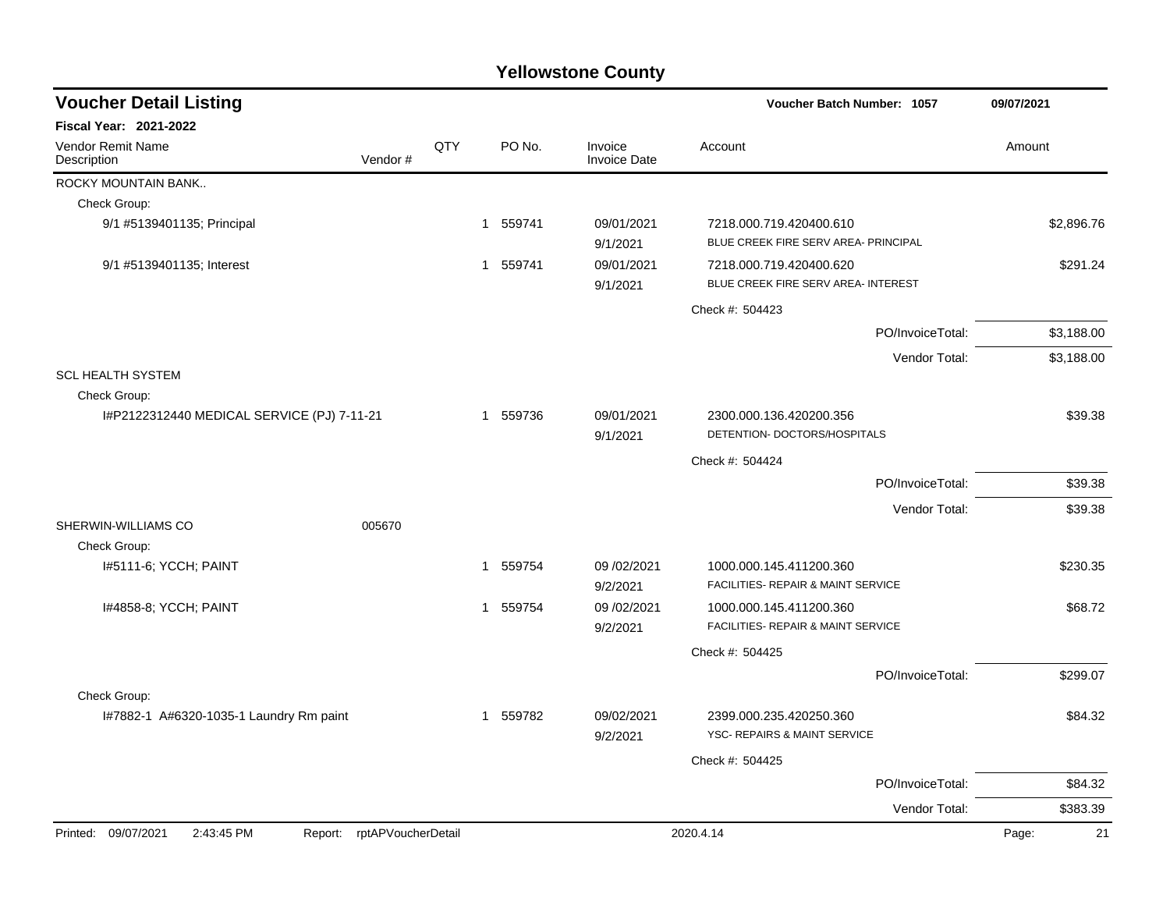| <b>Voucher Detail Listing</b>                                   |     |          |                                | Voucher Batch Number: 1057                                      | 09/07/2021  |
|-----------------------------------------------------------------|-----|----------|--------------------------------|-----------------------------------------------------------------|-------------|
| Fiscal Year: 2021-2022                                          |     |          |                                |                                                                 |             |
| <b>Vendor Remit Name</b><br>Vendor#<br>Description              | QTY | PO No.   | Invoice<br><b>Invoice Date</b> | Account                                                         | Amount      |
| ROCKY MOUNTAIN BANK                                             |     |          |                                |                                                                 |             |
| Check Group:                                                    |     |          |                                |                                                                 |             |
| 9/1 #5139401135; Principal                                      |     | 1 559741 | 09/01/2021<br>9/1/2021         | 7218.000.719.420400.610<br>BLUE CREEK FIRE SERV AREA- PRINCIPAL | \$2,896.76  |
| 9/1 #5139401135; Interest                                       |     | 1 559741 | 09/01/2021<br>9/1/2021         | 7218.000.719.420400.620<br>BLUE CREEK FIRE SERV AREA- INTEREST  | \$291.24    |
|                                                                 |     |          |                                | Check #: 504423                                                 |             |
|                                                                 |     |          |                                | PO/InvoiceTotal:                                                | \$3,188.00  |
|                                                                 |     |          |                                | Vendor Total:                                                   | \$3,188.00  |
| <b>SCL HEALTH SYSTEM</b>                                        |     |          |                                |                                                                 |             |
| Check Group:                                                    |     |          |                                |                                                                 |             |
| I#P2122312440 MEDICAL SERVICE (PJ) 7-11-21                      |     | 1 559736 | 09/01/2021<br>9/1/2021         | 2300.000.136.420200.356<br>DETENTION- DOCTORS/HOSPITALS         | \$39.38     |
|                                                                 |     |          |                                | Check #: 504424                                                 |             |
|                                                                 |     |          |                                | PO/InvoiceTotal:                                                | \$39.38     |
|                                                                 |     |          |                                | Vendor Total:                                                   | \$39.38     |
| SHERWIN-WILLIAMS CO<br>005670                                   |     |          |                                |                                                                 |             |
| Check Group:                                                    |     |          |                                |                                                                 |             |
| I#5111-6; YCCH; PAINT                                           |     | 1 559754 | 09/02/2021<br>9/2/2021         | 1000.000.145.411200.360<br>FACILITIES- REPAIR & MAINT SERVICE   | \$230.35    |
| 1#4858-8; YCCH; PAINT                                           |     | 1 559754 | 09/02/2021                     | 1000.000.145.411200.360                                         | \$68.72     |
|                                                                 |     |          | 9/2/2021                       | <b>FACILITIES- REPAIR &amp; MAINT SERVICE</b>                   |             |
|                                                                 |     |          |                                | Check #: 504425                                                 |             |
|                                                                 |     |          |                                | PO/InvoiceTotal:                                                | \$299.07    |
| Check Group:                                                    |     |          |                                |                                                                 |             |
| I#7882-1 A#6320-1035-1 Laundry Rm paint                         |     | 1 559782 | 09/02/2021<br>9/2/2021         | 2399.000.235.420250.360<br>YSC- REPAIRS & MAINT SERVICE         | \$84.32     |
|                                                                 |     |          |                                | Check #: 504425                                                 |             |
|                                                                 |     |          |                                | PO/InvoiceTotal:                                                | \$84.32     |
|                                                                 |     |          |                                | Vendor Total:                                                   | \$383.39    |
| Printed: 09/07/2021<br>2:43:45 PM<br>Report: rptAPVoucherDetail |     |          |                                | 2020.4.14                                                       | 21<br>Page: |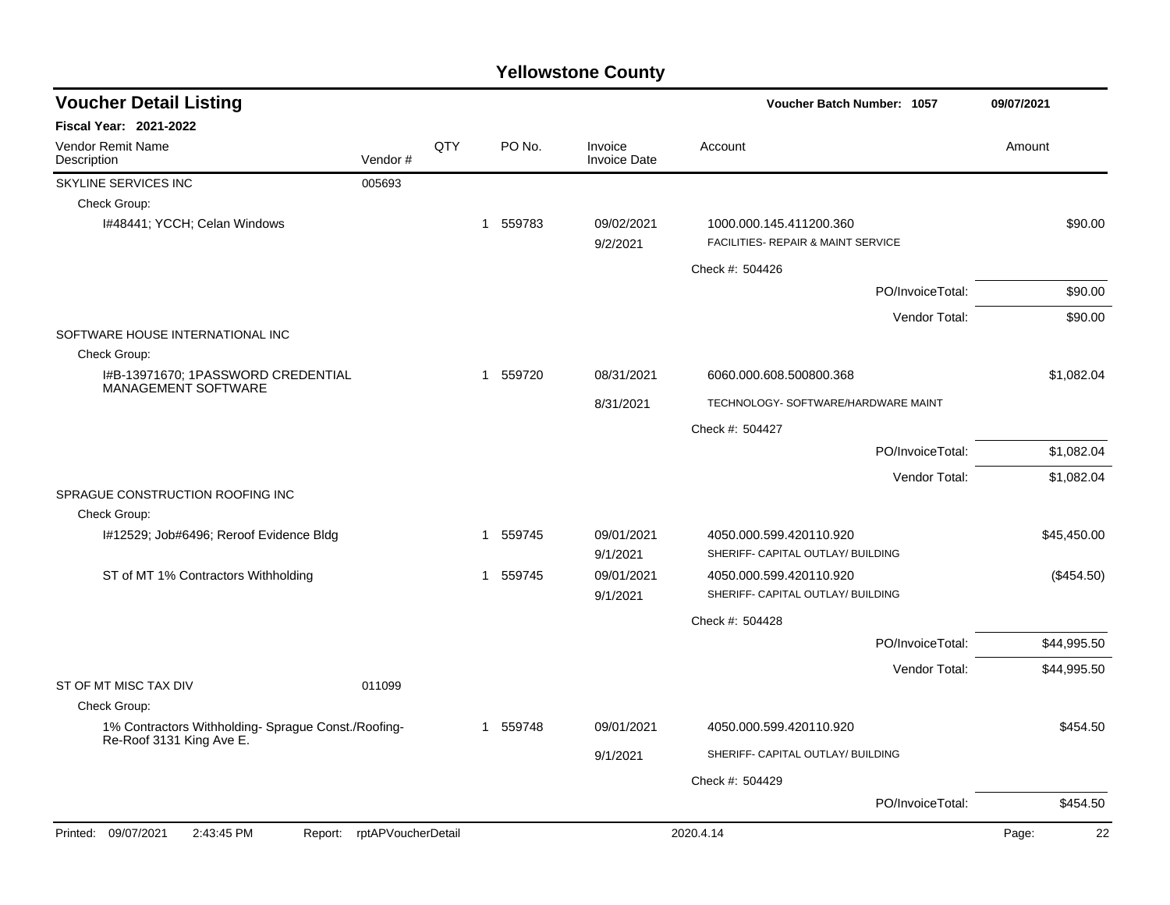| <b>Fiscal Year: 2021-2022</b><br>Vendor Remit Name<br>QTY<br>PO No.<br>Invoice<br>Account<br>Amount<br>Vendor#<br><b>Invoice Date</b><br>Description<br>SKYLINE SERVICES INC<br>005693<br>Check Group:<br>I#48441; YCCH; Celan Windows<br>1 559783<br>09/02/2021<br>1000.000.145.411200.360<br>\$90.00<br>FACILITIES- REPAIR & MAINT SERVICE<br>9/2/2021<br>Check #: 504426<br>PO/InvoiceTotal:<br>\$90.00<br>Vendor Total:<br>\$90.00<br>SOFTWARE HOUSE INTERNATIONAL INC<br>Check Group:<br>I#B-13971670; 1PASSWORD CREDENTIAL<br>1 559720<br>\$1,082.04<br>08/31/2021<br>6060.000.608.500800.368<br><b>MANAGEMENT SOFTWARE</b><br>TECHNOLOGY- SOFTWARE/HARDWARE MAINT<br>8/31/2021<br>Check #: 504427<br>\$1,082.04<br>PO/InvoiceTotal:<br>Vendor Total:<br>\$1,082.04<br>SPRAGUE CONSTRUCTION ROOFING INC<br>Check Group:<br>\$45,450.00<br>I#12529; Job#6496; Reroof Evidence Bldg<br>559745<br>09/01/2021<br>4050.000.599.420110.920<br>-1<br>SHERIFF- CAPITAL OUTLAY/ BUILDING<br>9/1/2021<br>ST of MT 1% Contractors Withholding<br>559745<br>09/01/2021<br>4050.000.599.420110.920<br>(\$454.50)<br>$\mathbf{1}$<br>SHERIFF- CAPITAL OUTLAY/ BUILDING<br>9/1/2021<br>Check #: 504428<br>PO/InvoiceTotal:<br>\$44,995.50<br>Vendor Total:<br>\$44,995.50<br>ST OF MT MISC TAX DIV<br>011099<br>Check Group:<br>1% Contractors Withholding- Sprague Const./Roofing-<br>\$454.50<br>559748<br>09/01/2021<br>4050.000.599.420110.920<br>1<br>Re-Roof 3131 King Ave E.<br>SHERIFF- CAPITAL OUTLAY/ BUILDING<br>9/1/2021<br>Check #: 504429<br>PO/InvoiceTotal:<br>\$454.50 | <b>Voucher Detail Listing</b> |  |  |  | Voucher Batch Number: 1057 |    |
|--------------------------------------------------------------------------------------------------------------------------------------------------------------------------------------------------------------------------------------------------------------------------------------------------------------------------------------------------------------------------------------------------------------------------------------------------------------------------------------------------------------------------------------------------------------------------------------------------------------------------------------------------------------------------------------------------------------------------------------------------------------------------------------------------------------------------------------------------------------------------------------------------------------------------------------------------------------------------------------------------------------------------------------------------------------------------------------------------------------------------------------------------------------------------------------------------------------------------------------------------------------------------------------------------------------------------------------------------------------------------------------------------------------------------------------------------------------------------------------------------------------------------------------------------------------------------------|-------------------------------|--|--|--|----------------------------|----|
|                                                                                                                                                                                                                                                                                                                                                                                                                                                                                                                                                                                                                                                                                                                                                                                                                                                                                                                                                                                                                                                                                                                                                                                                                                                                                                                                                                                                                                                                                                                                                                                |                               |  |  |  |                            |    |
|                                                                                                                                                                                                                                                                                                                                                                                                                                                                                                                                                                                                                                                                                                                                                                                                                                                                                                                                                                                                                                                                                                                                                                                                                                                                                                                                                                                                                                                                                                                                                                                |                               |  |  |  |                            |    |
|                                                                                                                                                                                                                                                                                                                                                                                                                                                                                                                                                                                                                                                                                                                                                                                                                                                                                                                                                                                                                                                                                                                                                                                                                                                                                                                                                                                                                                                                                                                                                                                |                               |  |  |  |                            |    |
|                                                                                                                                                                                                                                                                                                                                                                                                                                                                                                                                                                                                                                                                                                                                                                                                                                                                                                                                                                                                                                                                                                                                                                                                                                                                                                                                                                                                                                                                                                                                                                                |                               |  |  |  |                            |    |
|                                                                                                                                                                                                                                                                                                                                                                                                                                                                                                                                                                                                                                                                                                                                                                                                                                                                                                                                                                                                                                                                                                                                                                                                                                                                                                                                                                                                                                                                                                                                                                                |                               |  |  |  |                            |    |
|                                                                                                                                                                                                                                                                                                                                                                                                                                                                                                                                                                                                                                                                                                                                                                                                                                                                                                                                                                                                                                                                                                                                                                                                                                                                                                                                                                                                                                                                                                                                                                                |                               |  |  |  |                            |    |
|                                                                                                                                                                                                                                                                                                                                                                                                                                                                                                                                                                                                                                                                                                                                                                                                                                                                                                                                                                                                                                                                                                                                                                                                                                                                                                                                                                                                                                                                                                                                                                                |                               |  |  |  |                            |    |
|                                                                                                                                                                                                                                                                                                                                                                                                                                                                                                                                                                                                                                                                                                                                                                                                                                                                                                                                                                                                                                                                                                                                                                                                                                                                                                                                                                                                                                                                                                                                                                                |                               |  |  |  |                            |    |
|                                                                                                                                                                                                                                                                                                                                                                                                                                                                                                                                                                                                                                                                                                                                                                                                                                                                                                                                                                                                                                                                                                                                                                                                                                                                                                                                                                                                                                                                                                                                                                                |                               |  |  |  |                            |    |
|                                                                                                                                                                                                                                                                                                                                                                                                                                                                                                                                                                                                                                                                                                                                                                                                                                                                                                                                                                                                                                                                                                                                                                                                                                                                                                                                                                                                                                                                                                                                                                                |                               |  |  |  |                            |    |
|                                                                                                                                                                                                                                                                                                                                                                                                                                                                                                                                                                                                                                                                                                                                                                                                                                                                                                                                                                                                                                                                                                                                                                                                                                                                                                                                                                                                                                                                                                                                                                                |                               |  |  |  |                            |    |
|                                                                                                                                                                                                                                                                                                                                                                                                                                                                                                                                                                                                                                                                                                                                                                                                                                                                                                                                                                                                                                                                                                                                                                                                                                                                                                                                                                                                                                                                                                                                                                                |                               |  |  |  |                            |    |
|                                                                                                                                                                                                                                                                                                                                                                                                                                                                                                                                                                                                                                                                                                                                                                                                                                                                                                                                                                                                                                                                                                                                                                                                                                                                                                                                                                                                                                                                                                                                                                                |                               |  |  |  |                            |    |
|                                                                                                                                                                                                                                                                                                                                                                                                                                                                                                                                                                                                                                                                                                                                                                                                                                                                                                                                                                                                                                                                                                                                                                                                                                                                                                                                                                                                                                                                                                                                                                                |                               |  |  |  |                            |    |
|                                                                                                                                                                                                                                                                                                                                                                                                                                                                                                                                                                                                                                                                                                                                                                                                                                                                                                                                                                                                                                                                                                                                                                                                                                                                                                                                                                                                                                                                                                                                                                                |                               |  |  |  |                            |    |
|                                                                                                                                                                                                                                                                                                                                                                                                                                                                                                                                                                                                                                                                                                                                                                                                                                                                                                                                                                                                                                                                                                                                                                                                                                                                                                                                                                                                                                                                                                                                                                                |                               |  |  |  |                            |    |
|                                                                                                                                                                                                                                                                                                                                                                                                                                                                                                                                                                                                                                                                                                                                                                                                                                                                                                                                                                                                                                                                                                                                                                                                                                                                                                                                                                                                                                                                                                                                                                                |                               |  |  |  |                            |    |
|                                                                                                                                                                                                                                                                                                                                                                                                                                                                                                                                                                                                                                                                                                                                                                                                                                                                                                                                                                                                                                                                                                                                                                                                                                                                                                                                                                                                                                                                                                                                                                                |                               |  |  |  |                            |    |
|                                                                                                                                                                                                                                                                                                                                                                                                                                                                                                                                                                                                                                                                                                                                                                                                                                                                                                                                                                                                                                                                                                                                                                                                                                                                                                                                                                                                                                                                                                                                                                                |                               |  |  |  |                            |    |
|                                                                                                                                                                                                                                                                                                                                                                                                                                                                                                                                                                                                                                                                                                                                                                                                                                                                                                                                                                                                                                                                                                                                                                                                                                                                                                                                                                                                                                                                                                                                                                                |                               |  |  |  |                            |    |
|                                                                                                                                                                                                                                                                                                                                                                                                                                                                                                                                                                                                                                                                                                                                                                                                                                                                                                                                                                                                                                                                                                                                                                                                                                                                                                                                                                                                                                                                                                                                                                                |                               |  |  |  |                            |    |
|                                                                                                                                                                                                                                                                                                                                                                                                                                                                                                                                                                                                                                                                                                                                                                                                                                                                                                                                                                                                                                                                                                                                                                                                                                                                                                                                                                                                                                                                                                                                                                                |                               |  |  |  |                            |    |
|                                                                                                                                                                                                                                                                                                                                                                                                                                                                                                                                                                                                                                                                                                                                                                                                                                                                                                                                                                                                                                                                                                                                                                                                                                                                                                                                                                                                                                                                                                                                                                                |                               |  |  |  |                            |    |
|                                                                                                                                                                                                                                                                                                                                                                                                                                                                                                                                                                                                                                                                                                                                                                                                                                                                                                                                                                                                                                                                                                                                                                                                                                                                                                                                                                                                                                                                                                                                                                                |                               |  |  |  |                            |    |
|                                                                                                                                                                                                                                                                                                                                                                                                                                                                                                                                                                                                                                                                                                                                                                                                                                                                                                                                                                                                                                                                                                                                                                                                                                                                                                                                                                                                                                                                                                                                                                                |                               |  |  |  |                            |    |
|                                                                                                                                                                                                                                                                                                                                                                                                                                                                                                                                                                                                                                                                                                                                                                                                                                                                                                                                                                                                                                                                                                                                                                                                                                                                                                                                                                                                                                                                                                                                                                                |                               |  |  |  |                            |    |
|                                                                                                                                                                                                                                                                                                                                                                                                                                                                                                                                                                                                                                                                                                                                                                                                                                                                                                                                                                                                                                                                                                                                                                                                                                                                                                                                                                                                                                                                                                                                                                                |                               |  |  |  |                            |    |
|                                                                                                                                                                                                                                                                                                                                                                                                                                                                                                                                                                                                                                                                                                                                                                                                                                                                                                                                                                                                                                                                                                                                                                                                                                                                                                                                                                                                                                                                                                                                                                                |                               |  |  |  |                            |    |
|                                                                                                                                                                                                                                                                                                                                                                                                                                                                                                                                                                                                                                                                                                                                                                                                                                                                                                                                                                                                                                                                                                                                                                                                                                                                                                                                                                                                                                                                                                                                                                                |                               |  |  |  |                            |    |
| Printed: 09/07/2021<br>2:43:45 PM<br>rptAPVoucherDetail<br>2020.4.14<br>Page:<br>Report:                                                                                                                                                                                                                                                                                                                                                                                                                                                                                                                                                                                                                                                                                                                                                                                                                                                                                                                                                                                                                                                                                                                                                                                                                                                                                                                                                                                                                                                                                       |                               |  |  |  |                            | 22 |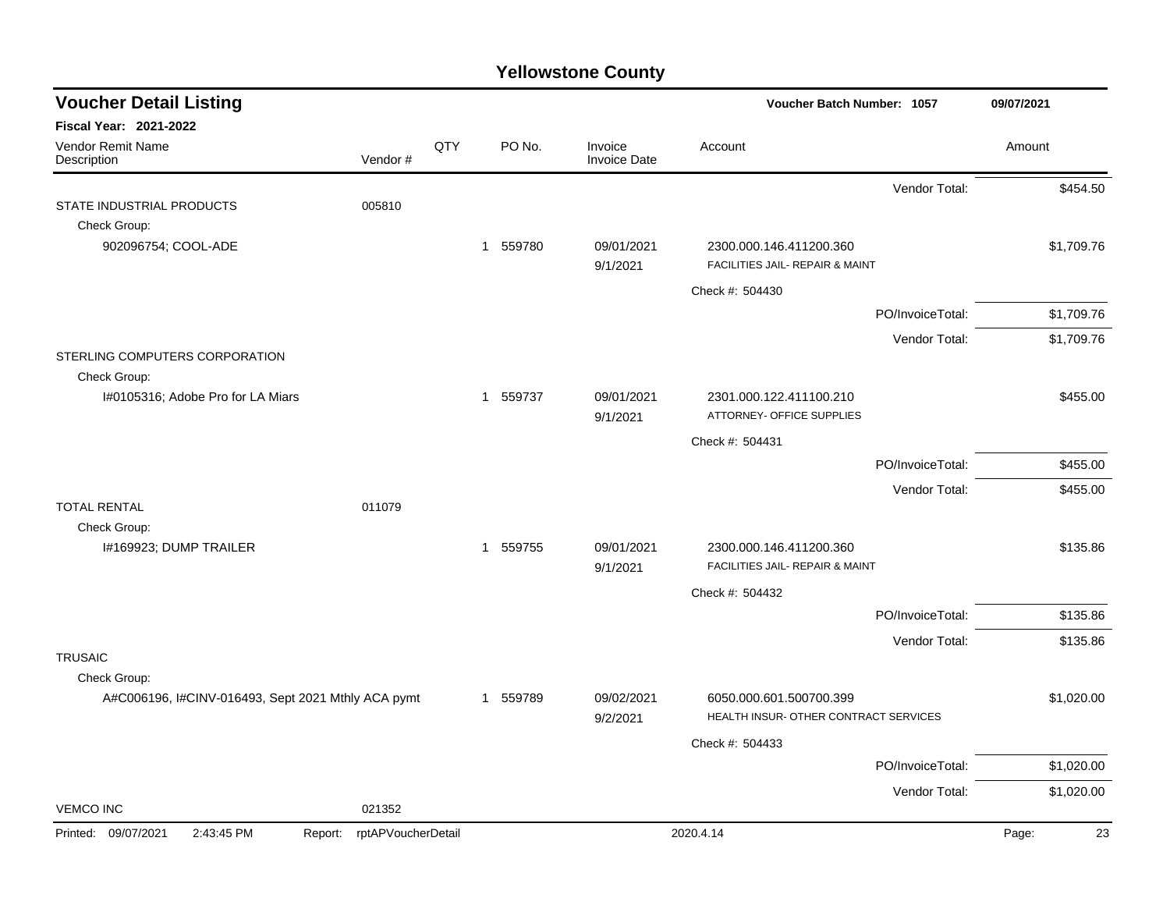| <b>Voucher Detail Listing</b>                                      |                               |     |                        |                                | <b>Voucher Batch Number: 1057</b>     | 09/07/2021  |
|--------------------------------------------------------------------|-------------------------------|-----|------------------------|--------------------------------|---------------------------------------|-------------|
| <b>Fiscal Year: 2021-2022</b>                                      |                               |     |                        |                                |                                       |             |
| Vendor Remit Name<br>Description                                   | Vendor#                       | QTY | PO No.                 | Invoice<br><b>Invoice Date</b> | Account                               | Amount      |
|                                                                    |                               |     |                        |                                | Vendor Total:                         | \$454.50    |
| STATE INDUSTRIAL PRODUCTS                                          | 005810                        |     |                        |                                |                                       |             |
| Check Group:<br>902096754; COOL-ADE                                |                               |     | 1 559780               | 09/01/2021                     | 2300.000.146.411200.360               | \$1,709.76  |
|                                                                    |                               |     |                        | 9/1/2021                       | FACILITIES JAIL- REPAIR & MAINT       |             |
|                                                                    |                               |     |                        |                                | Check #: 504430                       |             |
|                                                                    |                               |     |                        |                                | PO/InvoiceTotal:                      | \$1,709.76  |
|                                                                    |                               |     |                        |                                | Vendor Total:                         | \$1,709.76  |
| STERLING COMPUTERS CORPORATION                                     |                               |     |                        |                                |                                       |             |
| Check Group:<br>I#0105316; Adobe Pro for LA Miars                  |                               |     | 1 559737               | 09/01/2021                     | 2301.000.122.411100.210               | \$455.00    |
|                                                                    |                               |     |                        | 9/1/2021                       | ATTORNEY- OFFICE SUPPLIES             |             |
|                                                                    |                               |     |                        |                                | Check #: 504431                       |             |
|                                                                    |                               |     |                        |                                | PO/InvoiceTotal:                      | \$455.00    |
|                                                                    |                               |     |                        |                                | Vendor Total:                         | \$455.00    |
| <b>TOTAL RENTAL</b>                                                | 011079                        |     |                        |                                |                                       |             |
| Check Group:<br>I#169923; DUMP TRAILER                             |                               |     | 1 559755               | 09/01/2021                     | 2300.000.146.411200.360               | \$135.86    |
|                                                                    |                               |     |                        | 9/1/2021                       | FACILITIES JAIL- REPAIR & MAINT       |             |
|                                                                    |                               |     |                        |                                | Check #: 504432                       |             |
|                                                                    |                               |     |                        |                                | PO/InvoiceTotal:                      | \$135.86    |
|                                                                    |                               |     |                        |                                | Vendor Total:                         | \$135.86    |
| <b>TRUSAIC</b>                                                     |                               |     |                        |                                |                                       |             |
| Check Group:<br>A#C006196, I#CINV-016493, Sept 2021 Mthly ACA pymt |                               |     | 559789<br>$\mathbf{1}$ | 09/02/2021                     | 6050.000.601.500700.399               | \$1,020.00  |
|                                                                    |                               |     |                        | 9/2/2021                       | HEALTH INSUR- OTHER CONTRACT SERVICES |             |
|                                                                    |                               |     |                        |                                | Check #: 504433                       |             |
|                                                                    |                               |     |                        |                                | PO/InvoiceTotal:                      | \$1,020.00  |
|                                                                    |                               |     |                        |                                | Vendor Total:                         | \$1,020.00  |
| <b>VEMCO INC</b>                                                   | 021352                        |     |                        |                                |                                       |             |
| Printed: 09/07/2021<br>2:43:45 PM                                  | rptAPVoucherDetail<br>Report: |     |                        |                                | 2020.4.14                             | Page:<br>23 |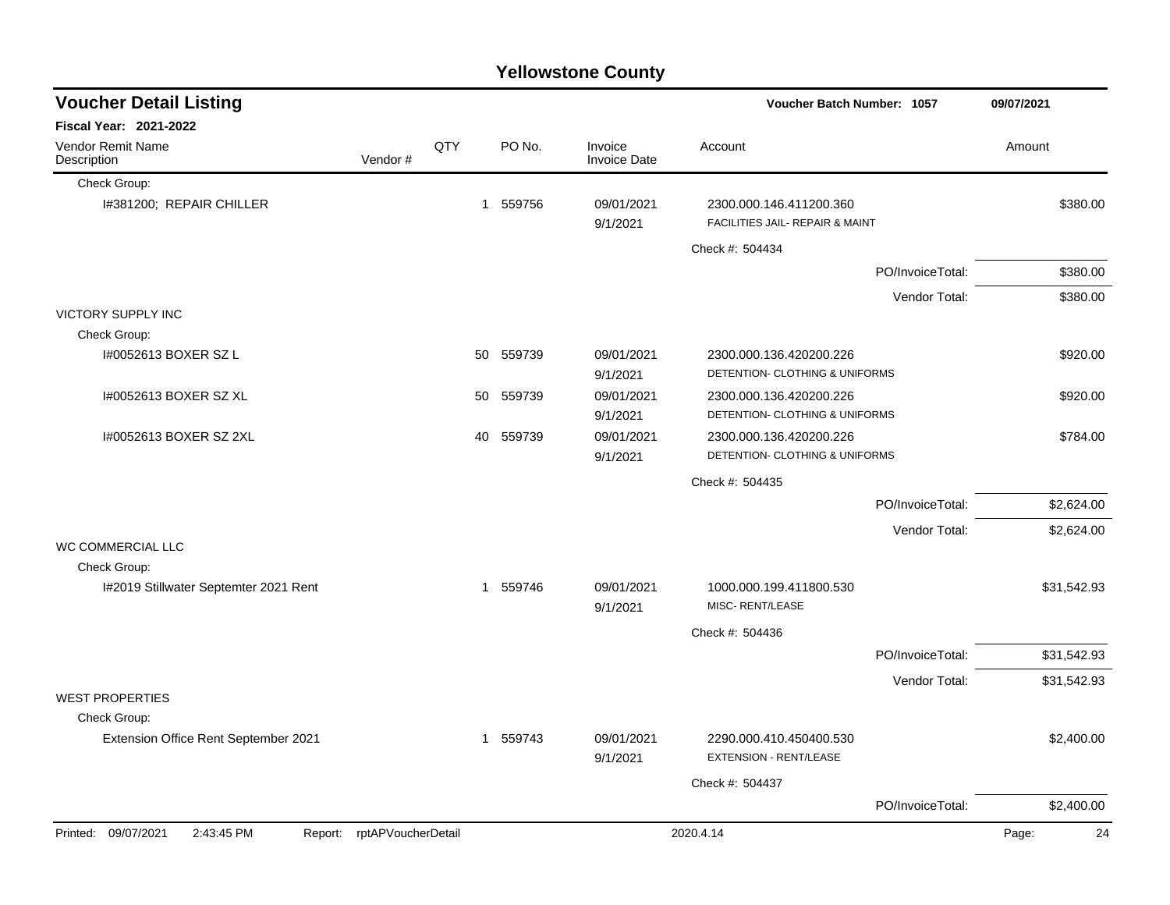|                                       |                            |     |          | <b>Yellowstone County</b>      |                                                            |                  |             |
|---------------------------------------|----------------------------|-----|----------|--------------------------------|------------------------------------------------------------|------------------|-------------|
| <b>Voucher Detail Listing</b>         |                            |     |          |                                | <b>Voucher Batch Number: 1057</b>                          |                  | 09/07/2021  |
| Fiscal Year: 2021-2022                |                            |     |          |                                |                                                            |                  |             |
| Vendor Remit Name<br>Description      | Vendor#                    | QTY | PO No.   | Invoice<br><b>Invoice Date</b> | Account                                                    |                  | Amount      |
| Check Group:                          |                            |     |          |                                |                                                            |                  |             |
| I#381200; REPAIR CHILLER              |                            | 1   | 559756   | 09/01/2021<br>9/1/2021         | 2300.000.146.411200.360<br>FACILITIES JAIL- REPAIR & MAINT |                  | \$380.00    |
|                                       |                            |     |          |                                | Check #: 504434                                            |                  |             |
|                                       |                            |     |          |                                |                                                            | PO/InvoiceTotal: | \$380.00    |
|                                       |                            |     |          |                                |                                                            | Vendor Total:    | \$380.00    |
| <b>VICTORY SUPPLY INC</b>             |                            |     |          |                                |                                                            |                  |             |
| Check Group:                          |                            |     |          |                                |                                                            |                  |             |
| I#0052613 BOXER SZ L                  |                            | 50  | 559739   | 09/01/2021<br>9/1/2021         | 2300.000.136.420200.226<br>DETENTION- CLOTHING & UNIFORMS  |                  | \$920.00    |
| 1#0052613 BOXER SZ XL                 |                            | 50  | 559739   | 09/01/2021<br>9/1/2021         | 2300.000.136.420200.226<br>DETENTION- CLOTHING & UNIFORMS  |                  | \$920.00    |
| I#0052613 BOXER SZ 2XL                |                            | 40  | 559739   | 09/01/2021<br>9/1/2021         | 2300.000.136.420200.226<br>DETENTION- CLOTHING & UNIFORMS  |                  | \$784.00    |
|                                       |                            |     |          |                                | Check #: 504435                                            |                  |             |
|                                       |                            |     |          |                                |                                                            | PO/InvoiceTotal: | \$2,624.00  |
|                                       |                            |     |          |                                |                                                            | Vendor Total:    | \$2,624.00  |
| WC COMMERCIAL LLC                     |                            |     |          |                                |                                                            |                  |             |
| Check Group:                          |                            |     |          |                                |                                                            |                  |             |
| I#2019 Stillwater Septemter 2021 Rent |                            |     | 1 559746 | 09/01/2021<br>9/1/2021         | 1000.000.199.411800.530<br>MISC-RENT/LEASE                 |                  | \$31,542.93 |
|                                       |                            |     |          |                                | Check #: 504436                                            |                  |             |
|                                       |                            |     |          |                                |                                                            | PO/InvoiceTotal: | \$31,542.93 |
|                                       |                            |     |          |                                |                                                            | Vendor Total:    | \$31,542.93 |
| <b>WEST PROPERTIES</b>                |                            |     |          |                                |                                                            |                  |             |
| Check Group:                          |                            |     |          |                                |                                                            |                  |             |
| Extension Office Rent September 2021  |                            |     | 1 559743 | 09/01/2021<br>9/1/2021         | 2290.000.410.450400.530<br>EXTENSION - RENT/LEASE          |                  | \$2,400.00  |
|                                       |                            |     |          |                                | Check #: 504437                                            |                  |             |
|                                       |                            |     |          |                                |                                                            | PO/InvoiceTotal: | \$2,400.00  |
| Printed: 09/07/2021<br>2:43:45 PM     | Report: rptAPVoucherDetail |     |          |                                | 2020.4.14                                                  |                  | Page:<br>24 |